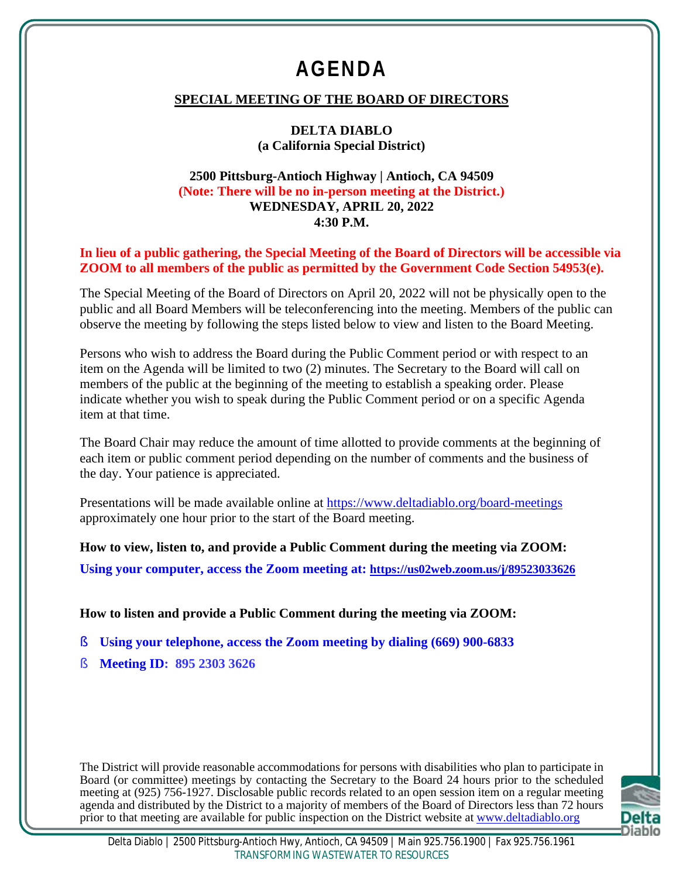## **AGENDA**

### **SPECIAL MEETING OF THE BOARD OF DIRECTORS**

#### **DELTA DIABLO (a California Special District)**

### **2500 Pittsburg-Antioch Highway | Antioch, CA 94509 (Note: There will be no in-person meeting at the District.) WEDNESDAY, APRIL 20, 2022 4:30 P.M.**

**In lieu of a public gathering, the Special Meeting of the Board of Directors will be accessible via ZOOM to all members of the public as permitted by the Government Code Section 54953(e).**

The Special Meeting of the Board of Directors on April 20, 2022 will not be physically open to the public and all Board Members will be teleconferencing into the meeting. Members of the public can observe the meeting by following the steps listed below to view and listen to the Board Meeting.

Persons who wish to address the Board during the Public Comment period or with respect to an item on the Agenda will be limited to two (2) minutes. The Secretary to the Board will call on members of the public at the beginning of the meeting to establish a speaking order. Please indicate whether you wish to speak during the Public Comment period or on a specific Agenda item at that time.

The Board Chair may reduce the amount of time allotted to provide comments at the beginning of each item or public comment period depending on the number of comments and the business of the day. Your patience is appreciated.

Presentations will be made available online at https://www.deltadiablo.org/board-meetings approximately one hour prior to the start of the Board meeting.

**How to view, listen to, and provide a Public Comment during the meeting via ZOOM:**

**Using your computer, access the Zoom meeting at: https://us02web.zoom.us/j/89523033626**

**How to listen and provide a Public Comment during the meeting via ZOOM:**

- § **Using your telephone, access the Zoom meeting by dialing (669) 900-6833**
- § **Meeting ID: 895 2303 3626**

The District will provide reasonable accommodations for persons with disabilities who plan to participate in Board (or committee) meetings by contacting the Secretary to the Board 24 hours prior to the scheduled meeting at (925) 756-1927. Disclosable public records related to an open session item on a regular meeting agenda and distributed by the District to a majority of members of the Board of Directors less than 72 hours prior to that meeting are available for public inspection on the District website at www.deltadiablo.org

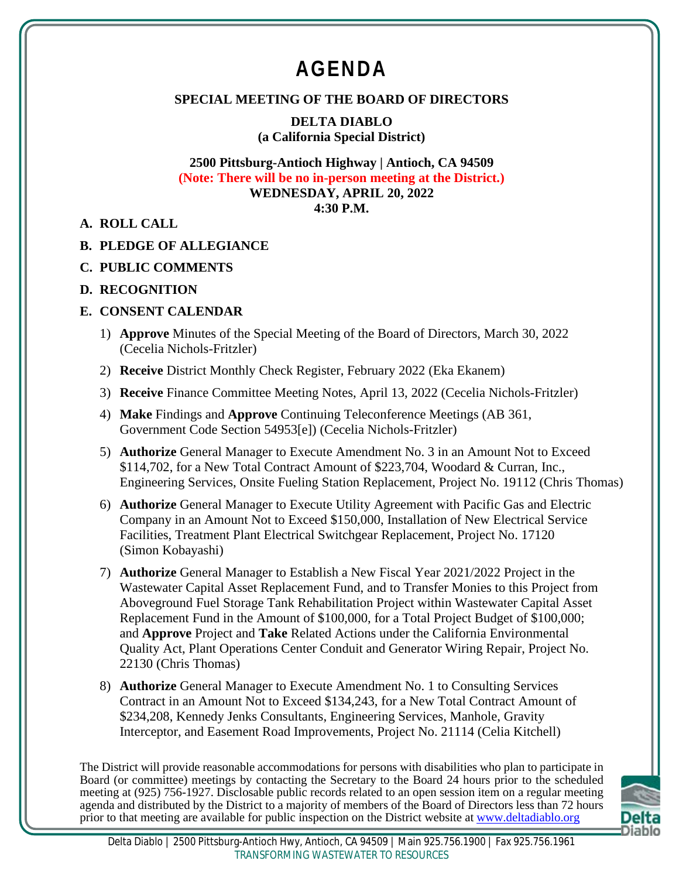## **AGENDA**

### **SPECIAL MEETING OF THE BOARD OF DIRECTORS**

**DELTA DIABLO (a California Special District)**

#### **2500 Pittsburg-Antioch Highway | Antioch, CA 94509 (Note: There will be no in-person meeting at the District.) WEDNESDAY, APRIL 20, 2022 4:30 P.M.**

**A. ROLL CALL**

**B. PLEDGE OF ALLEGIANCE**

**C. PUBLIC COMMENTS**

### **D. RECOGNITION**

### **E. CONSENT CALENDAR**

- 1) **Approve** Minutes of the Special Meeting of the Board of Directors, March 30, 2022 (Cecelia Nichols-Fritzler)
- 2) **Receive** District Monthly Check Register, February 2022 (Eka Ekanem)
- 3) **Receive** Finance Committee Meeting Notes, April 13, 2022 (Cecelia Nichols-Fritzler)
- 4) **Make** Findings and **Approve** Continuing Teleconference Meetings (AB 361, Government Code Section 54953[e]) (Cecelia Nichols-Fritzler)
- 5) **Authorize** General Manager to Execute Amendment No. 3 in an Amount Not to Exceed \$114,702, for a New Total Contract Amount of \$223,704, Woodard & Curran, Inc., Engineering Services, Onsite Fueling Station Replacement, Project No. 19112 (Chris Thomas)
- 6) **Authorize** General Manager to Execute Utility Agreement with Pacific Gas and Electric Company in an Amount Not to Exceed \$150,000, Installation of New Electrical Service Facilities, Treatment Plant Electrical Switchgear Replacement, Project No. 17120 (Simon Kobayashi)
- 7) **Authorize** General Manager to Establish a New Fiscal Year 2021/2022 Project in the Wastewater Capital Asset Replacement Fund, and to Transfer Monies to this Project from Aboveground Fuel Storage Tank Rehabilitation Project within Wastewater Capital Asset Replacement Fund in the Amount of \$100,000, for a Total Project Budget of \$100,000; and **Approve** Project and **Take** Related Actions under the California Environmental Quality Act, Plant Operations Center Conduit and Generator Wiring Repair, Project No. 22130 (Chris Thomas)
- 8) **Authorize** General Manager to Execute Amendment No. 1 to Consulting Services Contract in an Amount Not to Exceed \$134,243, for a New Total Contract Amount of \$234,208, Kennedy Jenks Consultants, Engineering Services, Manhole, Gravity Interceptor, and Easement Road Improvements, Project No. 21114 (Celia Kitchell)

The District will provide reasonable accommodations for persons with disabilities who plan to participate in Board (or committee) meetings by contacting the Secretary to the Board 24 hours prior to the scheduled meeting at (925) 756-1927. Disclosable public records related to an open session item on a regular meeting agenda and distributed by the District to a majority of members of the Board of Directors less than 72 hours prior to that meeting are available for public inspection on the District website at www.deltadiablo.org

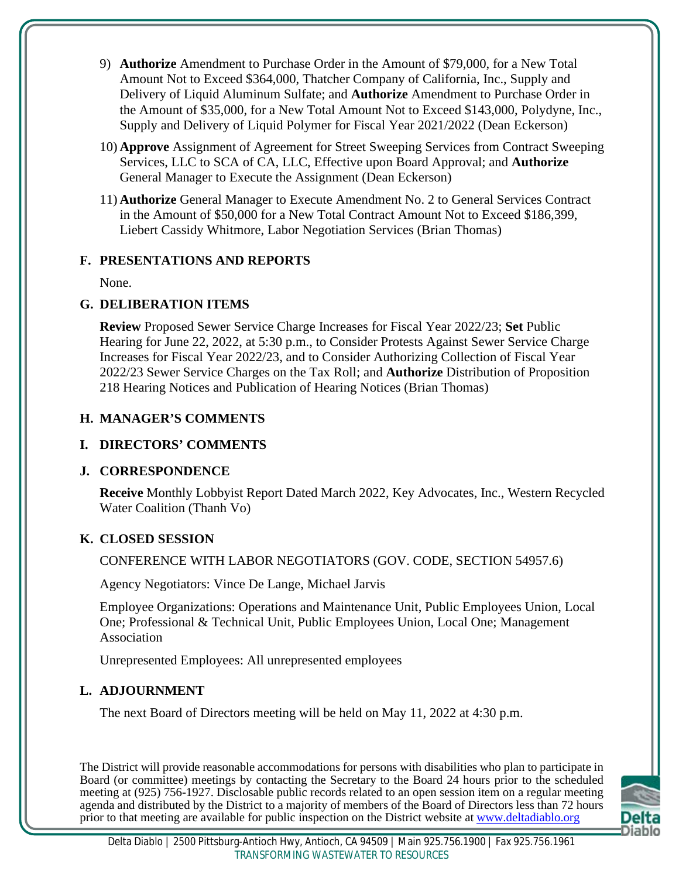- 9) **Authorize** Amendment to Purchase Order in the Amount of \$79,000, for a New Total Amount Not to Exceed \$364,000, Thatcher Company of California, Inc., Supply and Delivery of Liquid Aluminum Sulfate; and **Authorize** Amendment to Purchase Order in the Amount of \$35,000, for a New Total Amount Not to Exceed \$143,000, Polydyne, Inc., Supply and Delivery of Liquid Polymer for Fiscal Year 2021/2022 (Dean Eckerson)
- 10) **Approve** Assignment of Agreement for Street Sweeping Services from Contract Sweeping Services, LLC to SCA of CA, LLC, Effective upon Board Approval; and **Authorize** General Manager to Execute the Assignment (Dean Eckerson)
- 11) **Authorize** General Manager to Execute Amendment No. 2 to General Services Contract in the Amount of \$50,000 for a New Total Contract Amount Not to Exceed \$186,399, Liebert Cassidy Whitmore, Labor Negotiation Services (Brian Thomas)

### **F. PRESENTATIONS AND REPORTS**

None.

### **G. DELIBERATION ITEMS**

**Review** Proposed Sewer Service Charge Increases for Fiscal Year 2022/23; **Set** Public Hearing for June 22, 2022, at 5:30 p.m., to Consider Protests Against Sewer Service Charge Increases for Fiscal Year 2022/23, and to Consider Authorizing Collection of Fiscal Year 2022/23 Sewer Service Charges on the Tax Roll; and **Authorize** Distribution of Proposition 218 Hearing Notices and Publication of Hearing Notices (Brian Thomas)

### **H. MANAGER'S COMMENTS**

### **I. DIRECTORS' COMMENTS**

### **J. CORRESPONDENCE**

**Receive** Monthly Lobbyist Report Dated March 2022, Key Advocates, Inc., Western Recycled Water Coalition (Thanh Vo)

### **K. CLOSED SESSION**

CONFERENCE WITH LABOR NEGOTIATORS (GOV. CODE, SECTION 54957.6)

Agency Negotiators: Vince De Lange, Michael Jarvis

Employee Organizations: Operations and Maintenance Unit, Public Employees Union, Local One; Professional & Technical Unit, Public Employees Union, Local One; Management Association

Unrepresented Employees: All unrepresented employees

### **L. ADJOURNMENT**

The next Board of Directors meeting will be held on May 11, 2022 at 4:30 p.m.

The District will provide reasonable accommodations for persons with disabilities who plan to participate in Board (or committee) meetings by contacting the Secretary to the Board 24 hours prior to the scheduled meeting at (925) 756-1927. Disclosable public records related to an open session item on a regular meeting agenda and distributed by the District to a majority of members of the Board of Directors less than 72 hours prior to that meeting are available for public inspection on the District website at www.deltadiablo.org

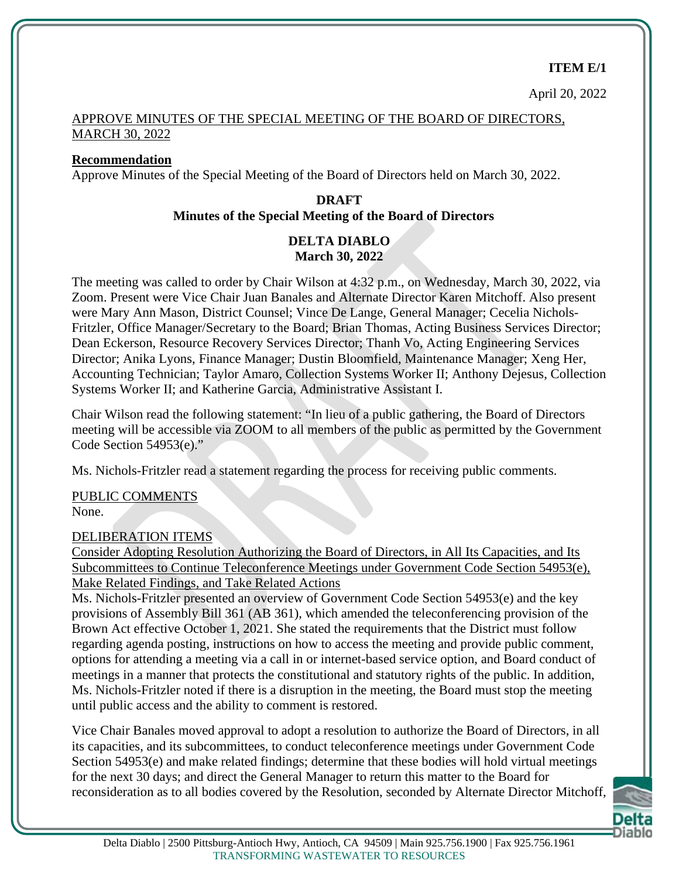April 20, 2022

### APPROVE MINUTES OF THE SPECIAL MEETING OF THE BOARD OF DIRECTORS, MARCH 30, 2022

### **Recommendation**

Approve Minutes of the Special Meeting of the Board of Directors held on March 30, 2022.

### **DRAFT Minutes of the Special Meeting of the Board of Directors**

### **DELTA DIABLO March 30, 2022**

The meeting was called to order by Chair Wilson at 4:32 p.m., on Wednesday, March 30, 2022, via Zoom. Present were Vice Chair Juan Banales and Alternate Director Karen Mitchoff. Also present were Mary Ann Mason, District Counsel; Vince De Lange, General Manager; Cecelia Nichols-Fritzler, Office Manager/Secretary to the Board; Brian Thomas, Acting Business Services Director; Dean Eckerson, Resource Recovery Services Director; Thanh Vo, Acting Engineering Services Director; Anika Lyons, Finance Manager; Dustin Bloomfield, Maintenance Manager; Xeng Her, Accounting Technician; Taylor Amaro, Collection Systems Worker II; Anthony Dejesus, Collection Systems Worker II; and Katherine Garcia, Administrative Assistant I.

Chair Wilson read the following statement: "In lieu of a public gathering, the Board of Directors meeting will be accessible via ZOOM to all members of the public as permitted by the Government Code Section 54953(e)."

Ms. Nichols-Fritzler read a statement regarding the process for receiving public comments.

PUBLIC COMMENTS None.

### DELIBERATION ITEMS

Consider Adopting Resolution Authorizing the Board of Directors, in All Its Capacities, and Its Subcommittees to Continue Teleconference Meetings under Government Code Section 54953(e), Make Related Findings, and Take Related Actions

Ms. Nichols-Fritzler presented an overview of Government Code Section 54953(e) and the key provisions of Assembly Bill 361 (AB 361), which amended the teleconferencing provision of the Brown Act effective October 1, 2021. She stated the requirements that the District must follow regarding agenda posting, instructions on how to access the meeting and provide public comment, options for attending a meeting via a call in or internet-based service option, and Board conduct of meetings in a manner that protects the constitutional and statutory rights of the public. In addition, Ms. Nichols-Fritzler noted if there is a disruption in the meeting, the Board must stop the meeting until public access and the ability to comment is restored.

Vice Chair Banales moved approval to adopt a resolution to authorize the Board of Directors, in all its capacities, and its subcommittees, to conduct teleconference meetings under Government Code Section 54953(e) and make related findings; determine that these bodies will hold virtual meetings for the next 30 days; and direct the General Manager to return this matter to the Board for reconsideration as to all bodies covered by the Resolution, seconded by Alternate Director Mitchoff,

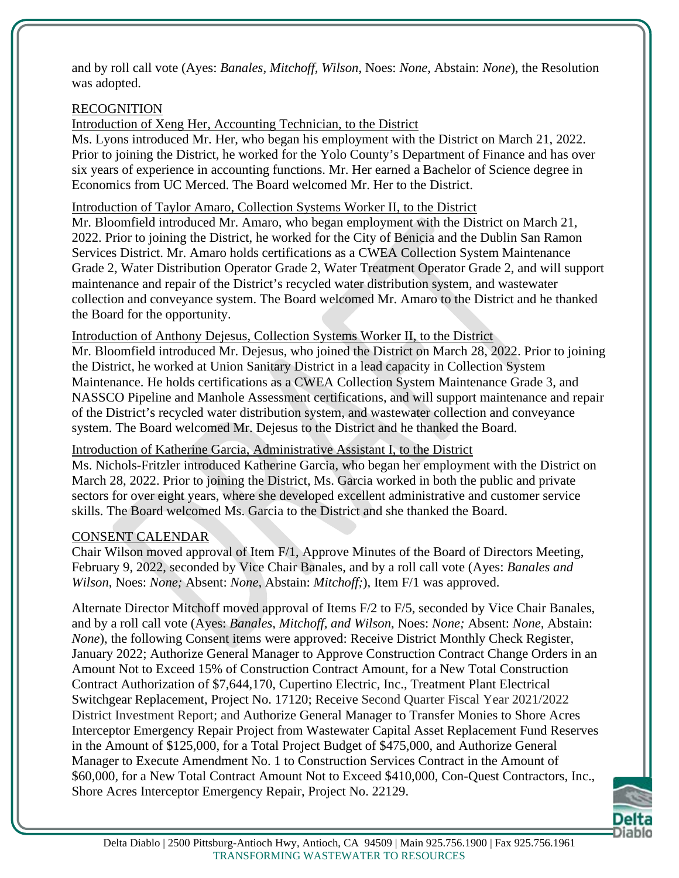and by roll call vote (Ayes: *Banales, Mitchoff, Wilson*, Noes: *None*, Abstain: *None*), the Resolution was adopted.

### RECOGNITION

Introduction of Xeng Her, Accounting Technician, to the District

Ms. Lyons introduced Mr. Her, who began his employment with the District on March 21, 2022. Prior to joining the District, he worked for the Yolo County's Department of Finance and has over six years of experience in accounting functions. Mr. Her earned a Bachelor of Science degree in Economics from UC Merced. The Board welcomed Mr. Her to the District.

### Introduction of Taylor Amaro, Collection Systems Worker II, to the District

Mr. Bloomfield introduced Mr. Amaro, who began employment with the District on March 21, 2022. Prior to joining the District, he worked for the City of Benicia and the Dublin San Ramon Services District. Mr. Amaro holds certifications as a CWEA Collection System Maintenance Grade 2, Water Distribution Operator Grade 2, Water Treatment Operator Grade 2, and will support maintenance and repair of the District's recycled water distribution system, and wastewater collection and conveyance system. The Board welcomed Mr. Amaro to the District and he thanked the Board for the opportunity.

#### Introduction of Anthony Dejesus, Collection Systems Worker II, to the District

Mr. Bloomfield introduced Mr. Dejesus, who joined the District on March 28, 2022. Prior to joining the District, he worked at Union Sanitary District in a lead capacity in Collection System Maintenance. He holds certifications as a CWEA Collection System Maintenance Grade 3, and NASSCO Pipeline and Manhole Assessment certifications, and will support maintenance and repair of the District's recycled water distribution system, and wastewater collection and conveyance system. The Board welcomed Mr. Dejesus to the District and he thanked the Board.

### Introduction of Katherine Garcia, Administrative Assistant I, to the District

Ms. Nichols-Fritzler introduced Katherine Garcia, who began her employment with the District on March 28, 2022. Prior to joining the District, Ms. Garcia worked in both the public and private sectors for over eight years, where she developed excellent administrative and customer service skills. The Board welcomed Ms. Garcia to the District and she thanked the Board.

### CONSENT CALENDAR

Chair Wilson moved approval of Item F/1, Approve Minutes of the Board of Directors Meeting, February 9, 2022, seconded by Vice Chair Banales, and by a roll call vote (Ayes: *Banales and Wilson*, Noes: *None;* Absent: *None,* Abstain: *Mitchoff;*), Item F/1 was approved.

Alternate Director Mitchoff moved approval of Items F/2 to F/5, seconded by Vice Chair Banales, and by a roll call vote (Ayes: *Banales, Mitchoff, and Wilson*, Noes: *None;* Absent: *None,* Abstain: *None*), the following Consent items were approved: Receive District Monthly Check Register, January 2022; Authorize General Manager to Approve Construction Contract Change Orders in an Amount Not to Exceed 15% of Construction Contract Amount, for a New Total Construction Contract Authorization of \$7,644,170, Cupertino Electric, Inc., Treatment Plant Electrical Switchgear Replacement, Project No. 17120; Receive Second Quarter Fiscal Year 2021/2022 District Investment Report; and Authorize General Manager to Transfer Monies to Shore Acres Interceptor Emergency Repair Project from Wastewater Capital Asset Replacement Fund Reserves in the Amount of \$125,000, for a Total Project Budget of \$475,000, and Authorize General Manager to Execute Amendment No. 1 to Construction Services Contract in the Amount of \$60,000, for a New Total Contract Amount Not to Exceed \$410,000, Con-Quest Contractors, Inc., Shore Acres Interceptor Emergency Repair, Project No. 22129.

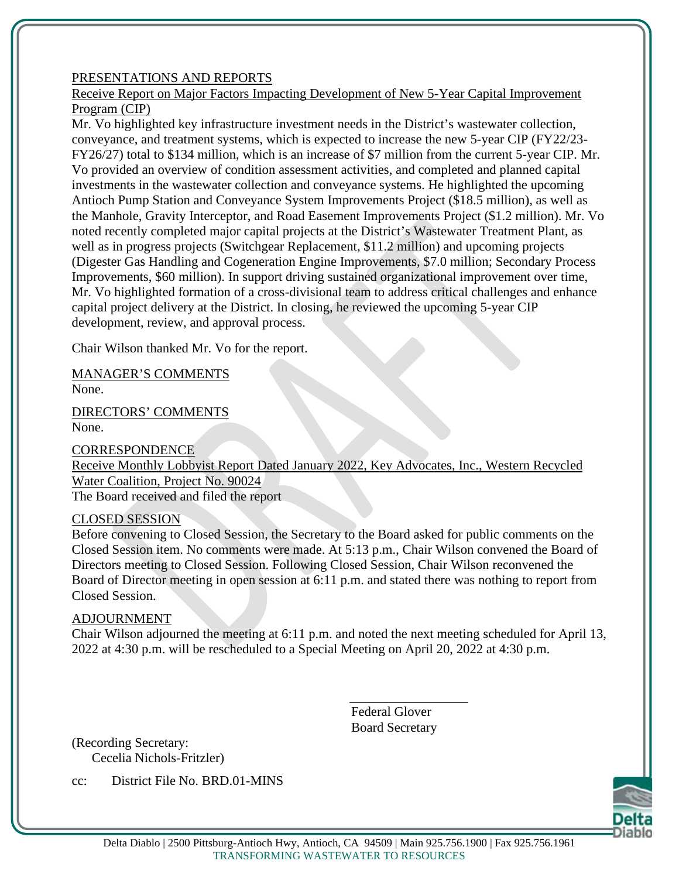### PRESENTATIONS AND REPORTS

Receive Report on Major Factors Impacting Development of New 5-Year Capital Improvement Program (CIP)

Mr. Vo highlighted key infrastructure investment needs in the District's wastewater collection, conveyance, and treatment systems, which is expected to increase the new 5-year CIP (FY22/23- FY26/27) total to \$134 million, which is an increase of \$7 million from the current 5-year CIP. Mr. Vo provided an overview of condition assessment activities, and completed and planned capital investments in the wastewater collection and conveyance systems. He highlighted the upcoming Antioch Pump Station and Conveyance System Improvements Project (\$18.5 million), as well as the Manhole, Gravity Interceptor, and Road Easement Improvements Project (\$1.2 million). Mr. Vo noted recently completed major capital projects at the District's Wastewater Treatment Plant, as well as in progress projects (Switchgear Replacement, \$11.2 million) and upcoming projects (Digester Gas Handling and Cogeneration Engine Improvements, \$7.0 million; Secondary Process Improvements, \$60 million). In support driving sustained organizational improvement over time, Mr. Vo highlighted formation of a cross-divisional team to address critical challenges and enhance capital project delivery at the District. In closing, he reviewed the upcoming 5-year CIP development, review, and approval process.

Chair Wilson thanked Mr. Vo for the report.

MANAGER'S COMMENTS None.

DIRECTORS' COMMENTS None.

**CORRESPONDENCE** Receive Monthly Lobbyist Report Dated January 2022, Key Advocates, Inc., Western Recycled Water Coalition, Project No. 90024 The Board received and filed the report

### CLOSED SESSION

Before convening to Closed Session, the Secretary to the Board asked for public comments on the Closed Session item. No comments were made. At 5:13 p.m., Chair Wilson convened the Board of Directors meeting to Closed Session. Following Closed Session, Chair Wilson reconvened the Board of Director meeting in open session at 6:11 p.m. and stated there was nothing to report from Closed Session.

### ADJOURNMENT

Chair Wilson adjourned the meeting at 6:11 p.m. and noted the next meeting scheduled for April 13, 2022 at 4:30 p.m. will be rescheduled to a Special Meeting on April 20, 2022 at 4:30 p.m.

> Federal Glover Board Secretary

(Recording Secretary: Cecelia Nichols-Fritzler)

cc: District File No. BRD.01-MINS

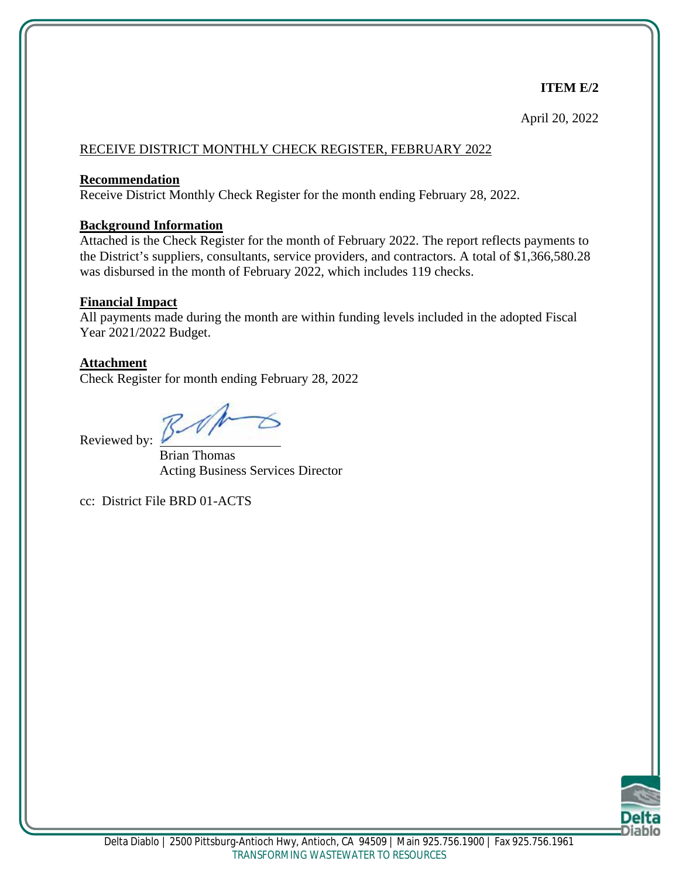April 20, 2022

### RECEIVE DISTRICT MONTHLY CHECK REGISTER, FEBRUARY 2022

#### **Recommendation**

Receive District Monthly Check Register for the month ending February 28, 2022.

#### **Background Information**

Attached is the Check Register for the month of February 2022. The report reflects payments to the District's suppliers, consultants, service providers, and contractors. A total of \$1,366,580.28 was disbursed in the month of February 2022, which includes 119 checks.

#### **Financial Impact**

All payments made during the month are within funding levels included in the adopted Fiscal Year 2021/2022 Budget.

#### **Attachment**

Check Register for month ending February 28, 2022

Reviewed by:

Brian Thomas Acting Business Services Director

cc: District File BRD 01-ACTS

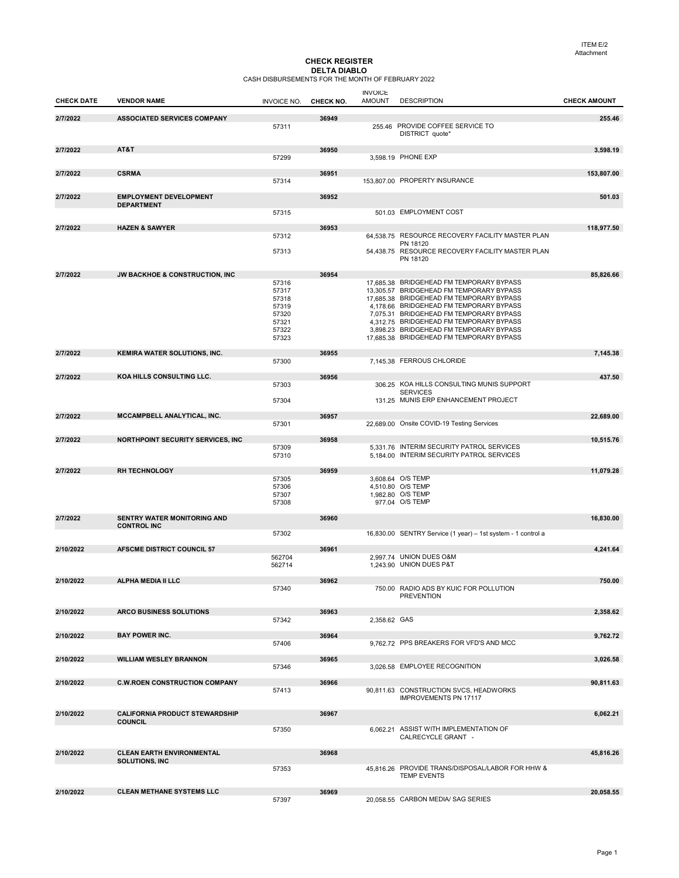#### CHECK REGISTER DELTA DIABLO

| <b>CHECK DATE</b> | <b>VENDOR NAME</b>                                      | <b>INVOICE NO.</b> | CHECK NO. | <b>INVOICE</b><br><b>AMOUNT</b> | <b>DESCRIPTION</b>                                                                     | <b>CHECK AMOUNT</b> |
|-------------------|---------------------------------------------------------|--------------------|-----------|---------------------------------|----------------------------------------------------------------------------------------|---------------------|
|                   |                                                         |                    |           |                                 |                                                                                        |                     |
| 2/7/2022          | <b>ASSOCIATED SERVICES COMPANY</b>                      |                    | 36949     |                                 |                                                                                        | 255.46              |
|                   |                                                         | 57311              |           |                                 | 255.46 PROVIDE COFFEE SERVICE TO<br>DISTRICT quote*                                    |                     |
|                   |                                                         |                    |           |                                 |                                                                                        |                     |
| 2/7/2022          | AT&T                                                    | 57299              | 36950     |                                 | 3.598.19 PHONE EXP                                                                     | 3,598.19            |
|                   |                                                         |                    |           |                                 |                                                                                        |                     |
| 2/7/2022          | <b>CSRMA</b>                                            |                    | 36951     |                                 |                                                                                        | 153,807.00          |
|                   |                                                         | 57314              |           |                                 | 153,807.00 PROPERTY INSURANCE                                                          |                     |
| 2/7/2022          | <b>EMPLOYMENT DEVELOPMENT</b>                           |                    | 36952     |                                 |                                                                                        | 501.03              |
|                   | <b>DEPARTMENT</b>                                       |                    |           |                                 | 501.03 EMPLOYMENT COST                                                                 |                     |
|                   |                                                         | 57315              |           |                                 |                                                                                        |                     |
| 2/7/2022          | <b>HAZEN &amp; SAWYER</b>                               |                    | 36953     |                                 |                                                                                        | 118,977.50          |
|                   |                                                         | 57312              |           |                                 | 64,538.75 RESOURCE RECOVERY FACILITY MASTER PLAN<br>PN 18120                           |                     |
|                   |                                                         | 57313              |           |                                 | 54,438.75 RESOURCE RECOVERY FACILITY MASTER PLAN                                       |                     |
|                   |                                                         |                    |           |                                 | PN 18120                                                                               |                     |
| 2/7/2022          | <b>JW BACKHOE &amp; CONSTRUCTION, INC</b>               |                    | 36954     |                                 |                                                                                        | 85,826.66           |
|                   |                                                         | 57316              |           |                                 | 17,685.38 BRIDGEHEAD FM TEMPORARY BYPASS                                               |                     |
|                   |                                                         | 57317<br>57318     |           |                                 | 13,305.57 BRIDGEHEAD FM TEMPORARY BYPASS<br>17,685.38 BRIDGEHEAD FM TEMPORARY BYPASS   |                     |
|                   |                                                         | 57319              |           |                                 | 4,178.66 BRIDGEHEAD FM TEMPORARY BYPASS                                                |                     |
|                   |                                                         | 57320              |           |                                 | 7,075.31 BRIDGEHEAD FM TEMPORARY BYPASS                                                |                     |
|                   |                                                         | 57321              |           |                                 | 4.312.75 BRIDGEHEAD FM TEMPORARY BYPASS                                                |                     |
|                   |                                                         | 57322<br>57323     |           |                                 | 3.898.23 BRIDGEHEAD FM TEMPORARY BYPASS<br>17.685.38 BRIDGEHEAD FM TEMPORARY BYPASS    |                     |
|                   |                                                         |                    |           |                                 |                                                                                        |                     |
| 2/7/2022          | KEMIRA WATER SOLUTIONS, INC.                            |                    | 36955     |                                 |                                                                                        | 7,145.38            |
|                   |                                                         | 57300              |           |                                 | 7,145.38 FERROUS CHLORIDE                                                              |                     |
| 2/7/2022          | KOA HILLS CONSULTING LLC.                               |                    | 36956     |                                 |                                                                                        | 437.50              |
|                   |                                                         | 57303              |           |                                 | 306.25 KOA HILLS CONSULTING MUNIS SUPPORT<br><b>SERVICES</b>                           |                     |
|                   |                                                         | 57304              |           |                                 | 131.25 MUNIS ERP ENHANCEMENT PROJECT                                                   |                     |
|                   |                                                         |                    |           |                                 |                                                                                        |                     |
| 2/7/2022          | MCCAMPBELL ANALYTICAL, INC.                             | 57301              | 36957     |                                 | 22,689.00 Onsite COVID-19 Testing Services                                             | 22,689.00           |
|                   |                                                         |                    |           |                                 |                                                                                        |                     |
| 2/7/2022          | <b>NORTHPOINT SECURITY SERVICES, INC.</b>               |                    | 36958     |                                 |                                                                                        | 10,515.76           |
|                   |                                                         | 57309<br>57310     |           |                                 | 5,331.76 INTERIM SECURITY PATROL SERVICES<br>5,184.00 INTERIM SECURITY PATROL SERVICES |                     |
|                   |                                                         |                    |           |                                 |                                                                                        |                     |
| 2/7/2022          | <b>RH TECHNOLOGY</b>                                    |                    | 36959     |                                 |                                                                                        | 11,079.28           |
|                   |                                                         | 57305<br>57306     |           |                                 | 3,608.64 O/S TEMP<br>4,510.80 O/S TEMP                                                 |                     |
|                   |                                                         | 57307              |           |                                 | 1,982.80 O/S TEMP                                                                      |                     |
|                   |                                                         | 57308              |           |                                 | 977.04 O/S TEMP                                                                        |                     |
| 2/7/2022          | <b>SENTRY WATER MONITORING AND</b>                      |                    | 36960     |                                 |                                                                                        | 16,830.00           |
|                   | <b>CONTROL INC</b>                                      |                    |           |                                 |                                                                                        |                     |
|                   |                                                         | 57302              |           |                                 | 16,830.00 SENTRY Service (1 year) - 1st system - 1 control a                           |                     |
| 2/10/2022         | AFSCME DISTRICT COUNCIL 57                              |                    | 36961     |                                 |                                                                                        | 4,241.64            |
|                   |                                                         | 562704             |           |                                 | 2,997.74 UNION DUES O&M                                                                |                     |
|                   |                                                         | 562714             |           |                                 | 1,243.90 UNION DUES P&T                                                                |                     |
| 2/10/2022         | ALPHA MEDIA II LLC                                      |                    | 36962     |                                 |                                                                                        | 750.00              |
|                   |                                                         | 57340              |           |                                 | 750.00 RADIO ADS BY KUIC FOR POLLUTION                                                 |                     |
|                   |                                                         |                    |           |                                 | <b>PREVENTION</b>                                                                      |                     |
| 2/10/2022         | <b>ARCO BUSINESS SOLUTIONS</b>                          |                    | 36963     |                                 |                                                                                        | 2,358.62            |
|                   |                                                         | 57342              |           | 2,358.62 GAS                    |                                                                                        |                     |
| 2/10/2022         | <b>BAY POWER INC.</b>                                   |                    | 36964     |                                 |                                                                                        | 9.762.72            |
|                   |                                                         | 57406              |           |                                 | 9.762.72 PPS BREAKERS FOR VFD'S AND MCC                                                |                     |
| 2/10/2022         |                                                         |                    | 36965     |                                 |                                                                                        |                     |
|                   | <b>WILLIAM WESLEY BRANNON</b>                           | 57346              |           |                                 | 3,026.58 EMPLOYEE RECOGNITION                                                          | 3,026.58            |
|                   |                                                         |                    |           |                                 |                                                                                        |                     |
| 2/10/2022         | <b>C.W.ROEN CONSTRUCTION COMPANY</b>                    | 57413              | 36966     |                                 | 90.811.63 CONSTRUCTION SVCS, HEADWORKS                                                 | 90,811.63           |
|                   |                                                         |                    |           |                                 | <b>IMPROVEMENTS PN 17117</b>                                                           |                     |
|                   |                                                         |                    |           |                                 |                                                                                        |                     |
| 2/10/2022         | <b>CALIFORNIA PRODUCT STEWARDSHIP</b><br><b>COUNCIL</b> |                    | 36967     |                                 |                                                                                        | 6,062.21            |
|                   |                                                         | 57350              |           |                                 | 6,062.21 ASSIST WITH IMPLEMENTATION OF                                                 |                     |
|                   |                                                         |                    |           |                                 | CALRECYCLE GRANT -                                                                     |                     |
| 2/10/2022         | <b>CLEAN EARTH ENVIRONMENTAL</b>                        |                    | 36968     |                                 |                                                                                        | 45,816.26           |
|                   | <b>SOLUTIONS, INC</b>                                   |                    |           |                                 |                                                                                        |                     |
|                   |                                                         | 57353              |           |                                 | 45,816.26 PROVIDE TRANS/DISPOSAL/LABOR FOR HHW &<br><b>TEMP EVENTS</b>                 |                     |
|                   |                                                         |                    |           |                                 |                                                                                        |                     |
| 2/10/2022         | <b>CLEAN METHANE SYSTEMS LLC</b>                        | 57397              | 36969     |                                 | 20,058.55 CARBON MEDIA/ SAG SERIES                                                     | 20,058.55           |
|                   |                                                         |                    |           |                                 |                                                                                        |                     |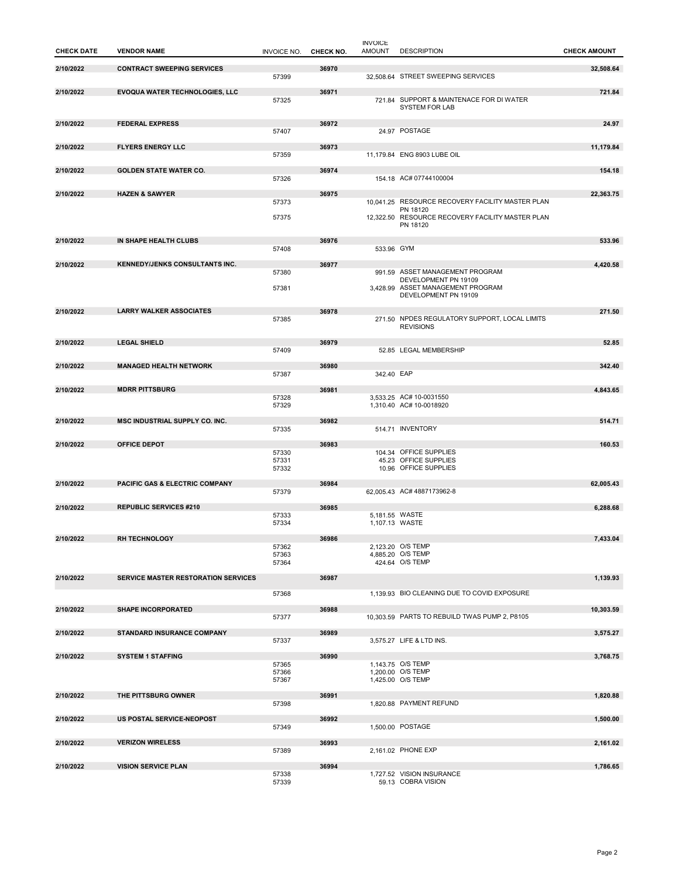| <b>CHECK DATE</b> | <b>VENDOR NAME</b>                        | <b>INVOICE NO.</b>      | CHECK NO. | <b>INVOICE</b><br><b>AMOUNT</b>  | <b>DESCRIPTION</b>                                                                                                   | <b>CHECK AMOUNT</b> |
|-------------------|-------------------------------------------|-------------------------|-----------|----------------------------------|----------------------------------------------------------------------------------------------------------------------|---------------------|
| 2/10/2022         | <b>CONTRACT SWEEPING SERVICES</b>         | 57399                   | 36970     |                                  | 32,508.64 STREET SWEEPING SERVICES                                                                                   | 32,508.64           |
| 2/10/2022         | <b>EVOQUA WATER TECHNOLOGIES, LLC</b>     | 57325                   | 36971     |                                  | 721.84 SUPPORT & MAINTENACE FOR DI WATER<br><b>SYSTEM FOR LAB</b>                                                    | 721.84              |
| 2/10/2022         | <b>FEDERAL EXPRESS</b>                    | 57407                   | 36972     |                                  | 24.97 POSTAGE                                                                                                        | 24.97               |
| 2/10/2022         | <b>FLYERS ENERGY LLC</b>                  | 57359                   | 36973     |                                  | 11,179.84 ENG 8903 LUBE OIL                                                                                          | 11,179.84           |
| 2/10/2022         | <b>GOLDEN STATE WATER CO.</b>             | 57326                   | 36974     |                                  | 154.18 AC# 07744100004                                                                                               | 154.18              |
| 2/10/2022         | <b>HAZEN &amp; SAWYER</b>                 | 57373<br>57375          | 36975     |                                  | 10.041.25 RESOURCE RECOVERY FACILITY MASTER PLAN<br>PN 18120<br>12,322.50 RESOURCE RECOVERY FACILITY MASTER PLAN     | 22,363.75           |
| 2/10/2022         | IN SHAPE HEALTH CLUBS                     |                         | 36976     |                                  | PN 18120                                                                                                             | 533.96              |
|                   |                                           | 57408                   |           | 533.96 GYM                       |                                                                                                                      |                     |
| 2/10/2022         | <b>KENNEDY/JENKS CONSULTANTS INC.</b>     | 57380<br>57381          | 36977     |                                  | 991.59 ASSET MANAGEMENT PROGRAM<br>DEVELOPMENT PN 19109<br>3,428.99 ASSET MANAGEMENT PROGRAM<br>DEVELOPMENT PN 19109 | 4.420.58            |
| 2/10/2022         | <b>LARRY WALKER ASSOCIATES</b>            | 57385                   | 36978     |                                  | 271.50 NPDES REGULATORY SUPPORT, LOCAL LIMITS<br><b>REVISIONS</b>                                                    | 271.50              |
| 2/10/2022         | <b>LEGAL SHIELD</b>                       | 57409                   | 36979     |                                  | 52.85 LEGAL MEMBERSHIP                                                                                               | 52.85               |
| 2/10/2022         | <b>MANAGED HEALTH NETWORK</b>             | 57387                   | 36980     | 342.40 EAP                       |                                                                                                                      | 342.40              |
| 2/10/2022         | <b>MDRR PITTSBURG</b>                     | 57328<br>57329          | 36981     |                                  | 3,533.25 AC# 10-0031550<br>1,310.40 AC# 10-0018920                                                                   | 4,843.65            |
| 2/10/2022         | MSC INDUSTRIAL SUPPLY CO. INC.            | 57335                   | 36982     |                                  | 514.71 INVENTORY                                                                                                     | 514.71              |
| 2/10/2022         | <b>OFFICE DEPOT</b>                       | 57330<br>57331<br>57332 | 36983     |                                  | 104.34 OFFICE SUPPLIES<br>45.23 OFFICE SUPPLIES<br>10.96 OFFICE SUPPLIES                                             | 160.53              |
| 2/10/2022         | <b>PACIFIC GAS &amp; ELECTRIC COMPANY</b> | 57379                   | 36984     |                                  | 62,005.43 AC# 4887173962-8                                                                                           | 62,005.43           |
| 2/10/2022         | <b>REPUBLIC SERVICES #210</b>             | 57333<br>57334          | 36985     | 5,181.55 WASTE<br>1,107.13 WASTE |                                                                                                                      | 6.288.68            |
| 2/10/2022         | <b>RH TECHNOLOGY</b>                      | 57362<br>57363<br>57364 | 36986     |                                  | 2,123.20 O/S TEMP<br>4,885.20 O/S TEMP<br>424.64 O/S TEMP                                                            | 7,433.04            |
| 2/10/2022         | SERVICE MASTER RESTORATION SERVICES       |                         | 36987     |                                  |                                                                                                                      | 1,139.93            |
| 2/10/2022         | <b>SHAPE INCORPORATED</b>                 | 57368                   | 36988     |                                  | 1.139.93 BIO CLEANING DUE TO COVID EXPOSURE                                                                          | 10,303.59           |
| 2/10/2022         | STANDARD INSURANCE COMPANY                | 57377                   | 36989     |                                  | 10.303.59 PARTS TO REBUILD TWAS PUMP 2, P8105                                                                        | 3,575.27            |
| 2/10/2022         | <b>SYSTEM 1 STAFFING</b>                  | 57337                   | 36990     |                                  | 3.575.27 LIFE & LTD INS.                                                                                             | 3,768.75            |
|                   |                                           | 57365<br>57366<br>57367 |           |                                  | 1,143.75 O/S TEMP<br>1,200.00 O/S TEMP<br>1.425.00 O/S TEMP                                                          |                     |
| 2/10/2022         | THE PITTSBURG OWNER                       | 57398                   | 36991     |                                  | 1,820.88 PAYMENT REFUND                                                                                              | 1,820.88            |
| 2/10/2022         | US POSTAL SERVICE-NEOPOST                 | 57349                   | 36992     |                                  | 1,500.00 POSTAGE                                                                                                     | 1,500.00            |
| 2/10/2022         | <b>VERIZON WIRELESS</b>                   | 57389                   | 36993     |                                  | 2,161.02 PHONE EXP                                                                                                   | 2,161.02            |
| 2/10/2022         | <b>VISION SERVICE PLAN</b>                | 57338<br>57339          | 36994     |                                  | 1,727.52 VISION INSURANCE<br>59.13 COBRA VISION                                                                      | 1,786.65            |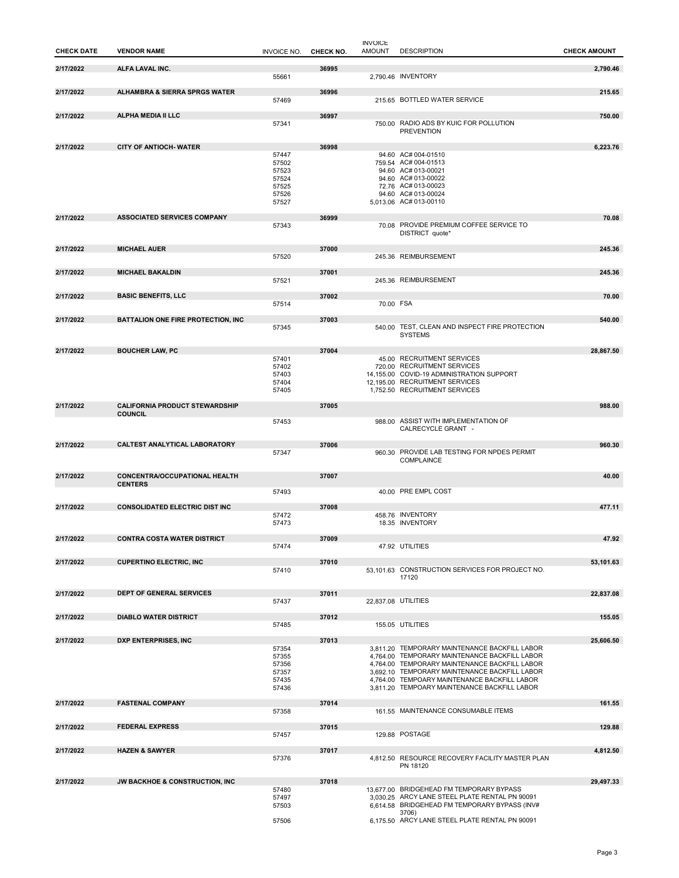| <b>CHECK DATE</b> | <b>VENDOR NAME</b>                                     | <b>INVOICE NO.</b> | CHECK NO. | <b>INVOICE</b><br><b>AMOUNT</b> | <b>DESCRIPTION</b>                                                                            | <b>CHECK AMOUNT</b> |
|-------------------|--------------------------------------------------------|--------------------|-----------|---------------------------------|-----------------------------------------------------------------------------------------------|---------------------|
| 2/17/2022         | ALFA LAVAL INC.                                        |                    | 36995     |                                 |                                                                                               | 2,790.46            |
|                   |                                                        | 55661              |           |                                 | 2,790.46 INVENTORY                                                                            |                     |
| 2/17/2022         | <b>ALHAMBRA &amp; SIERRA SPRGS WATER</b>               |                    | 36996     |                                 |                                                                                               | 215.65              |
|                   |                                                        | 57469              |           |                                 | 215.65 BOTTLED WATER SERVICE                                                                  |                     |
| 2/17/2022         | <b>ALPHA MEDIA II LLC</b>                              |                    | 36997     |                                 |                                                                                               | 750.00              |
|                   |                                                        | 57341              |           |                                 | 750.00 RADIO ADS BY KUIC FOR POLLUTION<br><b>PREVENTION</b>                                   |                     |
|                   |                                                        |                    |           |                                 |                                                                                               |                     |
| 2/17/2022         | <b>CITY OF ANTIOCH- WATER</b>                          | 57447              | 36998     |                                 | 94.60 AC# 004-01510                                                                           | 6,223.76            |
|                   |                                                        | 57502              |           |                                 | 759.54 AC# 004-01513                                                                          |                     |
|                   |                                                        | 57523              |           |                                 | 94.60 AC# 013-00021                                                                           |                     |
|                   |                                                        | 57524<br>57525     |           |                                 | 94.60 AC# 013-00022<br>72.76 AC# 013-00023                                                    |                     |
|                   |                                                        | 57526              |           |                                 | 94.60 AC# 013-00024                                                                           |                     |
|                   |                                                        | 57527              |           |                                 | 5,013.06 AC# 013-00110                                                                        |                     |
| 2/17/2022         | <b>ASSOCIATED SERVICES COMPANY</b>                     |                    | 36999     |                                 |                                                                                               | 70.08               |
|                   |                                                        | 57343              |           |                                 | 70.08 PROVIDE PREMIUM COFFEE SERVICE TO                                                       |                     |
|                   |                                                        |                    |           |                                 | DISTRICT quote*                                                                               |                     |
| 2/17/2022         | <b>MICHAEL AUER</b>                                    |                    | 37000     |                                 |                                                                                               | 245.36              |
|                   |                                                        | 57520              |           |                                 | 245.36 REIMBURSEMENT                                                                          |                     |
| 2/17/2022         | <b>MICHAEL BAKALDIN</b>                                |                    | 37001     |                                 |                                                                                               | 245.36              |
|                   |                                                        | 57521              |           |                                 | 245.36 REIMBURSEMENT                                                                          |                     |
| 2/17/2022         | <b>BASIC BENEFITS, LLC</b>                             |                    | 37002     |                                 |                                                                                               | 70.00               |
|                   |                                                        | 57514              |           | 70.00 FSA                       |                                                                                               |                     |
| 2/17/2022         | <b>BATTALION ONE FIRE PROTECTION, INC.</b>             |                    | 37003     |                                 |                                                                                               | 540.00              |
|                   |                                                        | 57345              |           |                                 | 540.00 TEST, CLEAN AND INSPECT FIRE PROTECTION                                                |                     |
|                   |                                                        |                    |           |                                 | <b>SYSTEMS</b>                                                                                |                     |
| 2/17/2022         | <b>BOUCHER LAW, PC</b>                                 |                    | 37004     |                                 |                                                                                               | 28,867.50           |
|                   |                                                        | 57401              |           |                                 | 45.00 RECRUITMENT SERVICES                                                                    |                     |
|                   |                                                        | 57402              |           |                                 | 720.00 RECRUITMENT SERVICES<br>14,155.00 COVID-19 ADMINISTRATION SUPPORT                      |                     |
|                   |                                                        | 57403<br>57404     |           |                                 | 12,195.00 RECRUITMENT SERVICES                                                                |                     |
|                   |                                                        | 57405              |           |                                 | 1,752.50 RECRUITMENT SERVICES                                                                 |                     |
| 2/17/2022         | <b>CALIFORNIA PRODUCT STEWARDSHIP</b>                  |                    | 37005     |                                 |                                                                                               | 988.00              |
|                   | <b>COUNCIL</b>                                         |                    |           |                                 |                                                                                               |                     |
|                   |                                                        | 57453              |           |                                 | 988.00 ASSIST WITH IMPLEMENTATION OF<br>CALRECYCLE GRANT -                                    |                     |
|                   |                                                        |                    |           |                                 |                                                                                               |                     |
| 2/17/2022         | CALTEST ANALYTICAL LABORATORY                          |                    | 37006     |                                 |                                                                                               | 960.30              |
|                   |                                                        | 57347              |           |                                 | 960.30 PROVIDE LAB TESTING FOR NPDES PERMIT<br>COMPLAINCE                                     |                     |
|                   |                                                        |                    |           |                                 |                                                                                               |                     |
| 2/17/2022         | <b>CONCENTRA/OCCUPATIONAL HEALTH</b><br><b>CENTERS</b> |                    | 37007     |                                 |                                                                                               | 40.00               |
|                   |                                                        | 57493              |           |                                 | 40.00 PRE EMPL COST                                                                           |                     |
|                   |                                                        |                    |           |                                 |                                                                                               |                     |
| 2/17/2022         | <b>CONSOLIDATED ELECTRIC DIST INC</b>                  | 57472              | 37008     |                                 | 458.76 INVENTORY                                                                              | 477.11              |
|                   |                                                        | 57473              |           |                                 | 18.35 INVENTORY                                                                               |                     |
| 2/17/2022         | <b>CONTRA COSTA WATER DISTRICT</b>                     |                    | 37009     |                                 |                                                                                               | 47.92               |
|                   |                                                        | 57474              |           |                                 | 47.92 UTILITIES                                                                               |                     |
|                   |                                                        |                    |           |                                 |                                                                                               |                     |
| 2/17/2022         | <b>CUPERTINO ELECTRIC, INC</b>                         | 57410              | 37010     |                                 | 53.101.63 CONSTRUCTION SERVICES FOR PROJECT NO.                                               | 53,101.63           |
|                   |                                                        |                    |           |                                 | 17120                                                                                         |                     |
| 2/17/2022         | <b>DEPT OF GENERAL SERVICES</b>                        |                    | 37011     |                                 |                                                                                               | 22.837.08           |
|                   |                                                        | 57437              |           |                                 | 22,837.08 UTILITIES                                                                           |                     |
| 2/17/2022         | <b>DIABLO WATER DISTRICT</b>                           |                    | 37012     |                                 |                                                                                               | 155.05              |
|                   |                                                        | 57485              |           |                                 | 155.05 UTILITIES                                                                              |                     |
|                   |                                                        |                    |           |                                 |                                                                                               |                     |
| 2/17/2022         | DXP ENTERPRISES, INC                                   | 57354              | 37013     |                                 | 3,811.20 TEMPORARY MAINTENANCE BACKFILL LABOR                                                 | 25,606.50           |
|                   |                                                        | 57355              |           |                                 | 4,764.00 TEMPORARY MAINTENANCE BACKFILL LABOR                                                 |                     |
|                   |                                                        | 57356              |           |                                 | 4,764.00 TEMPORARY MAINTENANCE BACKFILL LABOR                                                 |                     |
|                   |                                                        | 57357<br>57435     |           |                                 | 3,692.10 TEMPORARY MAINTENANCE BACKFILL LABOR<br>4,764.00 TEMPOARY MAINTENANCE BACKFILL LABOR |                     |
|                   |                                                        | 57436              |           |                                 | 3,811.20 TEMPOARY MAINTENANCE BACKFILL LABOR                                                  |                     |
| 2/17/2022         | <b>FASTENAL COMPANY</b>                                |                    | 37014     |                                 |                                                                                               | 161.55              |
|                   |                                                        | 57358              |           |                                 | 161.55 MAINTENANCE CONSUMABLE ITEMS                                                           |                     |
|                   |                                                        |                    |           |                                 |                                                                                               |                     |
| 2/17/2022         | <b>FEDERAL EXPRESS</b>                                 | 57457              | 37015     |                                 | 129.88 POSTAGE                                                                                | 129.88              |
|                   |                                                        |                    |           |                                 |                                                                                               |                     |
| 2/17/2022         | <b>HAZEN &amp; SAWYER</b>                              | 57376              | 37017     |                                 | 4,812.50 RESOURCE RECOVERY FACILITY MASTER PLAN                                               | 4,812.50            |
|                   |                                                        |                    |           |                                 | PN 18120                                                                                      |                     |
|                   |                                                        |                    |           |                                 |                                                                                               |                     |
| 2/17/2022         | JW BACKHOE & CONSTRUCTION, INC                         | 57480              | 37018     |                                 | 13,677.00 BRIDGEHEAD FM TEMPORARY BYPASS                                                      | 29,497.33           |
|                   |                                                        | 57497              |           |                                 | 3,030.25 ARCY LANE STEEL PLATE RENTAL PN 90091                                                |                     |
|                   |                                                        | 57503              |           |                                 | 6,614.58 BRIDGEHEAD FM TEMPORARY BYPASS (INV#<br>3706)                                        |                     |
|                   |                                                        | 57506              |           |                                 | 6,175.50 ARCY LANE STEEL PLATE RENTAL PN 90091                                                |                     |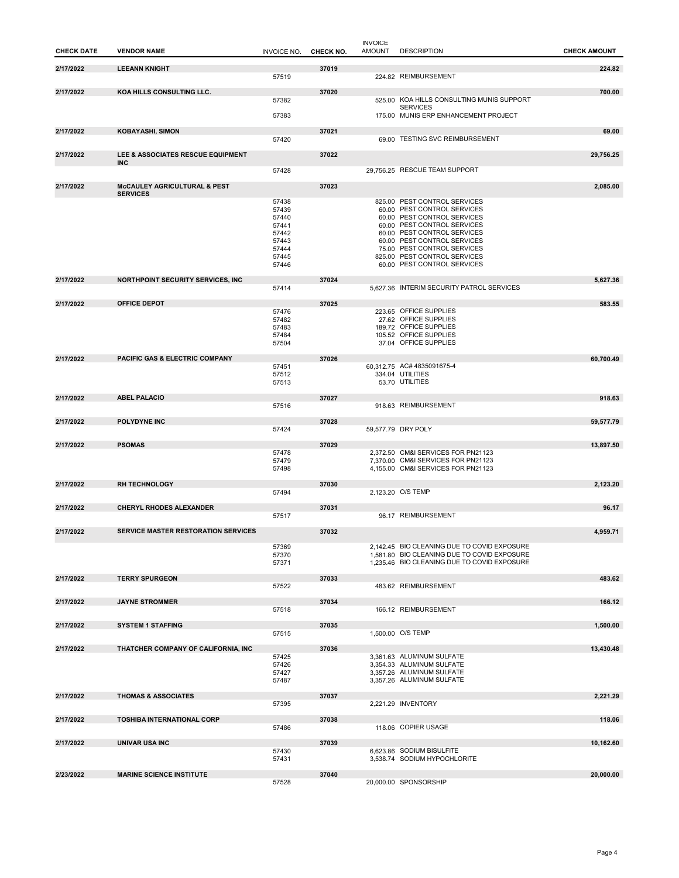| <b>CHECK DATE</b> | <b>VENDOR NAME</b>                              | <b>INVOICE NO.</b> | CHECK NO. | <b>INVOICE</b><br><b>AMOUNT</b> | <b>DESCRIPTION</b>                                                                         | <b>CHECK AMOUNT</b> |
|-------------------|-------------------------------------------------|--------------------|-----------|---------------------------------|--------------------------------------------------------------------------------------------|---------------------|
| 2/17/2022         | <b>LEEANN KNIGHT</b>                            |                    | 37019     |                                 |                                                                                            | 224.82              |
|                   |                                                 | 57519              |           |                                 | 224.82 REIMBURSEMENT                                                                       |                     |
| 2/17/2022         | KOA HILLS CONSULTING LLC.                       |                    | 37020     |                                 |                                                                                            | 700.00              |
|                   |                                                 | 57382              |           |                                 | 525.00 KOA HILLS CONSULTING MUNIS SUPPORT                                                  |                     |
|                   |                                                 | 57383              |           |                                 | <b>SERVICES</b><br>175.00 MUNIS ERP ENHANCEMENT PROJECT                                    |                     |
|                   |                                                 |                    |           |                                 |                                                                                            |                     |
| 2/17/2022         | <b>KOBAYASHI, SIMON</b>                         | 57420              | 37021     |                                 | 69.00 TESTING SVC REIMBURSEMENT                                                            | 69.00               |
|                   |                                                 |                    |           |                                 |                                                                                            |                     |
| 2/17/2022         | LEE & ASSOCIATES RESCUE EQUIPMENT<br><b>INC</b> |                    | 37022     |                                 |                                                                                            | 29,756.25           |
|                   |                                                 | 57428              |           |                                 | 29.756.25 RESCUE TEAM SUPPORT                                                              |                     |
| 2/17/2022         | <b>McCAULEY AGRICULTURAL &amp; PEST</b>         |                    | 37023     |                                 |                                                                                            | 2,085.00            |
|                   | <b>SERVICES</b>                                 |                    |           |                                 |                                                                                            |                     |
|                   |                                                 | 57438<br>57439     |           |                                 | 825.00 PEST CONTROL SERVICES<br>60.00 PEST CONTROL SERVICES                                |                     |
|                   |                                                 | 57440              |           |                                 | 60.00 PEST CONTROL SERVICES                                                                |                     |
|                   |                                                 | 57441              |           |                                 | 60.00 PEST CONTROL SERVICES                                                                |                     |
|                   |                                                 | 57442<br>57443     |           |                                 | 60.00 PEST CONTROL SERVICES<br>60.00 PEST CONTROL SERVICES                                 |                     |
|                   |                                                 | 57444              |           |                                 | 75.00 PEST CONTROL SERVICES                                                                |                     |
|                   |                                                 | 57445              |           |                                 | 825.00 PEST CONTROL SERVICES<br>60.00 PEST CONTROL SERVICES                                |                     |
|                   |                                                 | 57446              |           |                                 |                                                                                            |                     |
| 2/17/2022         | NORTHPOINT SECURITY SERVICES, INC.              |                    | 37024     |                                 |                                                                                            | 5,627.36            |
|                   |                                                 | 57414              |           |                                 | 5.627.36 INTERIM SECURITY PATROL SERVICES                                                  |                     |
| 2/17/2022         | <b>OFFICE DEPOT</b>                             |                    | 37025     |                                 |                                                                                            | 583.55              |
|                   |                                                 | 57476<br>57482     |           |                                 | 223.65 OFFICE SUPPLIES<br>27.62 OFFICE SUPPLIES                                            |                     |
|                   |                                                 | 57483              |           |                                 | 189.72 OFFICE SUPPLIES                                                                     |                     |
|                   |                                                 | 57484              |           |                                 | 105.52 OFFICE SUPPLIES                                                                     |                     |
|                   |                                                 | 57504              |           |                                 | 37.04 OFFICE SUPPLIES                                                                      |                     |
| 2/17/2022         | PACIFIC GAS & ELECTRIC COMPANY                  |                    | 37026     |                                 |                                                                                            | 60,700.49           |
|                   |                                                 | 57451              |           |                                 | 60,312.75 AC# 4835091675-4                                                                 |                     |
|                   |                                                 | 57512<br>57513     |           |                                 | 334.04 UTILITIES<br>53.70 UTILITIES                                                        |                     |
|                   |                                                 |                    |           |                                 |                                                                                            |                     |
| 2/17/2022         | <b>ABEL PALACIO</b>                             | 57516              | 37027     |                                 | 918.63 REIMBURSEMENT                                                                       | 918.63              |
|                   |                                                 |                    |           |                                 |                                                                                            |                     |
| 2/17/2022         | <b>POLYDYNE INC</b>                             | 57424              | 37028     |                                 | 59,577.79 DRY POLY                                                                         | 59,577.79           |
|                   |                                                 |                    |           |                                 |                                                                                            |                     |
| 2/17/2022         | <b>PSOMAS</b>                                   | 57478              | 37029     |                                 | 2,372.50 CM&I SERVICES FOR PN21123                                                         | 13,897.50           |
|                   |                                                 | 57479              |           |                                 | 7,370.00 CM&I SERVICES FOR PN21123                                                         |                     |
|                   |                                                 | 57498              |           |                                 | 4,155.00 CM&I SERVICES FOR PN21123                                                         |                     |
| 2/17/2022         | <b>RH TECHNOLOGY</b>                            |                    | 37030     |                                 |                                                                                            | 2,123.20            |
|                   |                                                 | 57494              |           |                                 | 2.123.20 O/S TEMP                                                                          |                     |
| 2/17/2022         | <b>CHERYL RHODES ALEXANDER</b>                  |                    | 37031     |                                 |                                                                                            | 96.17               |
|                   |                                                 | 57517              |           |                                 | 96.17 REIMBURSEMENT                                                                        |                     |
| 2/17/2022         | SERVICE MASTER RESTORATION SERVICES             |                    | 37032     |                                 |                                                                                            | 4.959.71            |
|                   |                                                 |                    |           |                                 |                                                                                            |                     |
|                   |                                                 | 57369<br>57370     |           |                                 | 2,142.45 BIO CLEANING DUE TO COVID EXPOSURE<br>1,581.80 BIO CLEANING DUE TO COVID EXPOSURE |                     |
|                   |                                                 | 57371              |           |                                 | 1,235.46 BIO CLEANING DUE TO COVID EXPOSURE                                                |                     |
| 2/17/2022         | <b>TERRY SPURGEON</b>                           |                    | 37033     |                                 |                                                                                            | 483.62              |
|                   |                                                 | 57522              |           |                                 | 483.62 REIMBURSEMENT                                                                       |                     |
|                   | <b>JAYNE STROMMER</b>                           |                    |           |                                 |                                                                                            |                     |
| 2/17/2022         |                                                 | 57518              | 37034     |                                 | 166.12 REIMBURSEMENT                                                                       | 166.12              |
|                   |                                                 |                    |           |                                 |                                                                                            |                     |
| 2/17/2022         | <b>SYSTEM 1 STAFFING</b>                        | 57515              | 37035     |                                 | 1,500.00 O/S TEMP                                                                          | 1,500.00            |
|                   |                                                 |                    |           |                                 |                                                                                            |                     |
| 2/17/2022         | THATCHER COMPANY OF CALIFORNIA, INC             | 57425              | 37036     |                                 | 3,361.63 ALUMINUM SULFATE                                                                  | 13,430.48           |
|                   |                                                 | 57426              |           |                                 | 3.354.33 ALUMINUM SULFATE                                                                  |                     |
|                   |                                                 | 57427              |           |                                 | 3,357.26 ALUMINUM SULFATE                                                                  |                     |
|                   |                                                 | 57487              |           |                                 | 3,357.26 ALUMINUM SULFATE                                                                  |                     |
| 2/17/2022         | <b>THOMAS &amp; ASSOCIATES</b>                  |                    | 37037     |                                 |                                                                                            | 2,221.29            |
|                   |                                                 | 57395              |           |                                 | 2,221.29 INVENTORY                                                                         |                     |
| 2/17/2022         | <b>TOSHIBA INTERNATIONAL CORP</b>               |                    | 37038     |                                 |                                                                                            | 118.06              |
|                   |                                                 | 57486              |           |                                 | 118.06 COPIER USAGE                                                                        |                     |
| 2/17/2022         | <b>UNIVAR USA INC</b>                           |                    | 37039     |                                 |                                                                                            | 10,162.60           |
|                   |                                                 | 57430<br>57431     |           |                                 | 6,623.86 SODIUM BISULFITE<br>3,538.74 SODIUM HYPOCHLORITE                                  |                     |
|                   |                                                 |                    |           |                                 |                                                                                            |                     |
| 2/23/2022         | <b>MARINE SCIENCE INSTITUTE</b>                 |                    | 37040     |                                 |                                                                                            | 20,000.00           |
|                   |                                                 | 57528              |           |                                 | 20,000.00 SPONSORSHIP                                                                      |                     |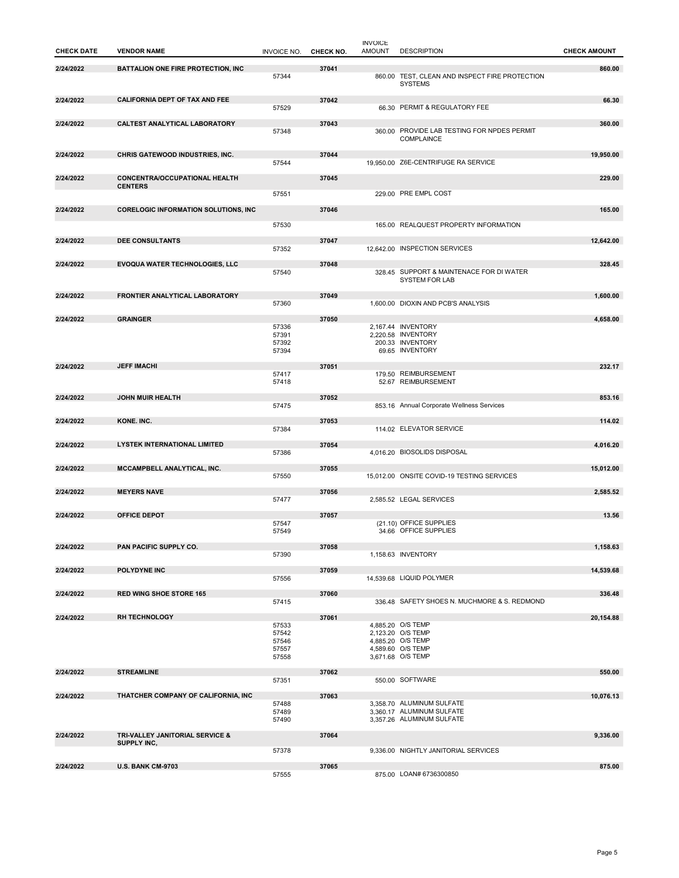| <b>CHECK DATE</b> | <b>VENDOR NAME</b>                                     | <b>INVOICE NO.</b> | CHECK NO. | <b>INVOICE</b><br><b>AMOUNT</b> | <b>DESCRIPTION</b>                                                | <b>CHECK AMOUNT</b> |
|-------------------|--------------------------------------------------------|--------------------|-----------|---------------------------------|-------------------------------------------------------------------|---------------------|
| 2/24/2022         | <b>BATTALION ONE FIRE PROTECTION, INC</b>              |                    | 37041     |                                 |                                                                   | 860.00              |
|                   |                                                        | 57344              |           |                                 | 860.00 TEST, CLEAN AND INSPECT FIRE PROTECTION<br><b>SYSTEMS</b>  |                     |
| 2/24/2022         | CALIFORNIA DEPT OF TAX AND FEE                         |                    | 37042     |                                 |                                                                   | 66.30               |
|                   |                                                        | 57529              |           |                                 | 66.30 PERMIT & REGULATORY FEE                                     |                     |
| 2/24/2022         | CALTEST ANALYTICAL LABORATORY                          | 57348              | 37043     |                                 | 360.00 PROVIDE LAB TESTING FOR NPDES PERMIT<br><b>COMPLAINCE</b>  | 360.00              |
| 2/24/2022         | CHRIS GATEWOOD INDUSTRIES, INC.                        | 57544              | 37044     |                                 | 19,950.00 Z6E-CENTRIFUGE RA SERVICE                               | 19,950.00           |
| 2/24/2022         | <b>CONCENTRA/OCCUPATIONAL HEALTH</b><br><b>CENTERS</b> |                    | 37045     |                                 |                                                                   | 229.00              |
|                   |                                                        | 57551              |           |                                 | 229.00 PRE EMPL COST                                              |                     |
| 2/24/2022         | <b>CORELOGIC INFORMATION SOLUTIONS, INC</b>            |                    | 37046     |                                 |                                                                   | 165.00              |
|                   |                                                        | 57530              |           |                                 | 165.00 REALQUEST PROPERTY INFORMATION                             |                     |
|                   |                                                        |                    |           |                                 |                                                                   |                     |
| 2/24/2022         | <b>DEE CONSULTANTS</b>                                 | 57352              | 37047     |                                 | 12,642.00 INSPECTION SERVICES                                     | 12,642.00           |
|                   |                                                        |                    |           |                                 |                                                                   |                     |
| 2/24/2022         | <b>EVOQUA WATER TECHNOLOGIES, LLC</b>                  | 57540              | 37048     |                                 | 328.45 SUPPORT & MAINTENACE FOR DI WATER<br><b>SYSTEM FOR LAB</b> | 328.45              |
| 2/24/2022         | FRONTIER ANALYTICAL LABORATORY                         |                    | 37049     |                                 |                                                                   | 1,600.00            |
|                   |                                                        | 57360              |           |                                 | 1,600.00 DIOXIN AND PCB'S ANALYSIS                                |                     |
| 2/24/2022         | <b>GRAINGER</b>                                        |                    | 37050     |                                 |                                                                   | 4,658.00            |
|                   |                                                        | 57336              |           |                                 | 2.167.44 INVENTORY                                                |                     |
|                   |                                                        | 57391<br>57392     |           |                                 | 2,220.58 INVENTORY<br>200.33 INVENTORY                            |                     |
|                   |                                                        | 57394              |           |                                 | 69.65 INVENTORY                                                   |                     |
| 2/24/2022         | <b>JEFF IMACHI</b>                                     |                    | 37051     |                                 |                                                                   | 232.17              |
|                   |                                                        | 57417              |           |                                 | 179.50 REIMBURSEMENT                                              |                     |
|                   |                                                        | 57418              |           |                                 | 52.67 REIMBURSEMENT                                               |                     |
| 2/24/2022         | <b>JOHN MUIR HEALTH</b>                                |                    | 37052     |                                 |                                                                   | 853.16              |
|                   |                                                        | 57475              |           |                                 | 853.16 Annual Corporate Wellness Services                         |                     |
| 2/24/2022         | KONE. INC.                                             |                    | 37053     |                                 |                                                                   | 114.02              |
|                   |                                                        | 57384              |           |                                 | 114.02 ELEVATOR SERVICE                                           |                     |
| 2/24/2022         | <b>LYSTEK INTERNATIONAL LIMITED</b>                    |                    | 37054     |                                 |                                                                   | 4,016.20            |
|                   |                                                        | 57386              |           |                                 | 4,016.20 BIOSOLIDS DISPOSAL                                       |                     |
| 2/24/2022         | MCCAMPBELL ANALYTICAL, INC.                            |                    | 37055     |                                 |                                                                   | 15,012.00           |
|                   |                                                        | 57550              |           |                                 | 15,012.00 ONSITE COVID-19 TESTING SERVICES                        |                     |
| 2/24/2022         | <b>MEYERS NAVE</b>                                     |                    | 37056     |                                 |                                                                   | 2,585.52            |
|                   |                                                        | 57477              |           |                                 | 2,585.52 LEGAL SERVICES                                           |                     |
| 2/24/2022         | <b>OFFICE DEPOT</b>                                    |                    | 37057     |                                 |                                                                   | 13.56               |
|                   |                                                        | 57547<br>57549     |           |                                 | (21.10) OFFICE SUPPLIES<br>34.66 OFFICE SUPPLIES                  |                     |
|                   |                                                        |                    |           |                                 |                                                                   |                     |
| 2/24/2022         | <b>PAN PACIFIC SUPPLY CO.</b>                          | 57390              | 37058     |                                 | 1,158.63 INVENTORY                                                | 1,158.63            |
|                   |                                                        |                    |           |                                 |                                                                   |                     |
| 2/24/2022         | <b>POLYDYNE INC</b>                                    | 57556              | 37059     |                                 | 14,539.68 LIQUID POLYMER                                          | 14,539.68           |
|                   |                                                        |                    |           |                                 |                                                                   |                     |
| 2/24/2022         | <b>RED WING SHOE STORE 165</b>                         | 57415              | 37060     |                                 | 336.48 SAFETY SHOES N. MUCHMORE & S. REDMOND                      | 336.48              |
|                   |                                                        |                    |           |                                 |                                                                   |                     |
| 2/24/2022         | <b>RH TECHNOLOGY</b>                                   | 57533              | 37061     |                                 | 4,885.20 O/S TEMP                                                 | 20,154.88           |
|                   |                                                        | 57542              |           |                                 | 2,123.20 O/S TEMP                                                 |                     |
|                   |                                                        | 57546              |           |                                 | 4,885.20 O/S TEMP<br>4,589.60 O/S TEMP                            |                     |
|                   |                                                        | 57557<br>57558     |           |                                 | 3,671.68 O/S TEMP                                                 |                     |
| 2/24/2022         | <b>STREAMLINE</b>                                      |                    | 37062     |                                 |                                                                   | 550.00              |
|                   |                                                        | 57351              |           |                                 | 550.00 SOFTWARE                                                   |                     |
| 2/24/2022         | THATCHER COMPANY OF CALIFORNIA, INC                    |                    | 37063     |                                 |                                                                   | 10,076.13           |
|                   |                                                        | 57488              |           |                                 | 3,358.70 ALUMINUM SULFATE                                         |                     |
|                   |                                                        | 57489<br>57490     |           |                                 | 3,360.17 ALUMINUM SULFATE<br>3,357.26 ALUMINUM SULFATE            |                     |
|                   |                                                        |                    |           |                                 |                                                                   |                     |
| 2/24/2022         | TRI-VALLEY JANITORIAL SERVICE &<br>SUPPLY INC.         |                    | 37064     |                                 |                                                                   | 9,336.00            |
|                   |                                                        | 57378              |           |                                 | 9,336.00 NIGHTLY JANITORIAL SERVICES                              |                     |
| 2/24/2022         | <b>U.S. BANK CM-9703</b>                               |                    | 37065     |                                 |                                                                   | 875.00              |
|                   |                                                        | 57555              |           |                                 | 875.00 LOAN# 6736300850                                           |                     |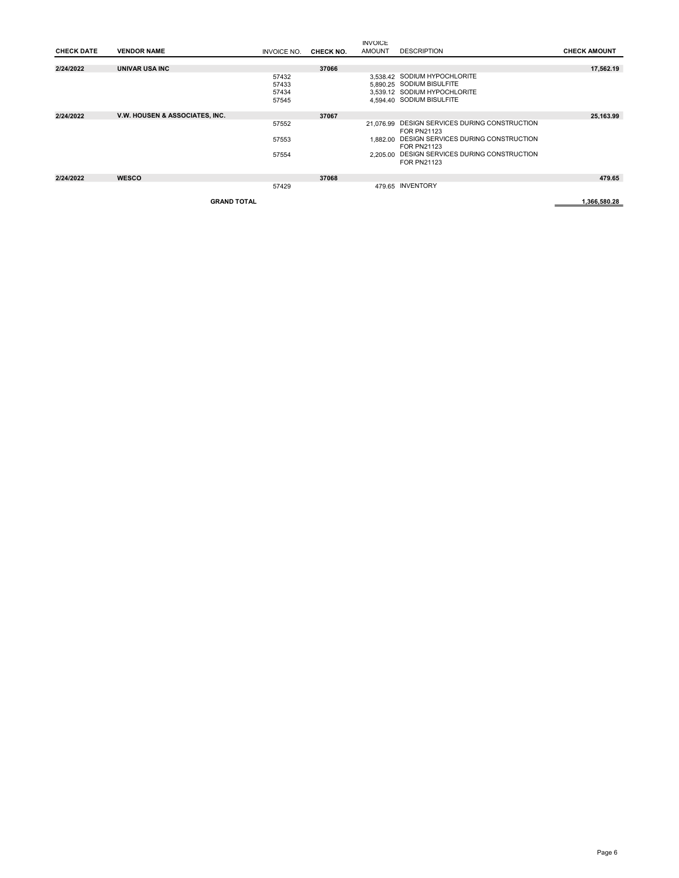| <b>CHECK DATE</b> | <b>VENDOR NAME</b>             | <b>INVOICE NO.</b>               | CHECK NO. | <b>INVOICE</b><br><b>AMOUNT</b> | <b>DESCRIPTION</b>                                                                                                     | <b>CHECK AMOUNT</b> |
|-------------------|--------------------------------|----------------------------------|-----------|---------------------------------|------------------------------------------------------------------------------------------------------------------------|---------------------|
| 2/24/2022         | UNIVAR USA INC                 |                                  | 37066     |                                 |                                                                                                                        | 17,562.19           |
|                   |                                | 57432<br>57433<br>57434<br>57545 |           |                                 | 3.538.42 SODIUM HYPOCHLORITE<br>5.890.25 SODIUM BISULFITE<br>3.539.12 SODIUM HYPOCHLORITE<br>4.594.40 SODIUM BISULFITE |                     |
| 2/24/2022         | V.W. HOUSEN & ASSOCIATES, INC. |                                  | 37067     |                                 |                                                                                                                        | 25,163.99           |
|                   |                                | 57552                            |           |                                 | 21.076.99 DESIGN SERVICES DURING CONSTRUCTION<br><b>FOR PN21123</b>                                                    |                     |
|                   |                                | 57553                            |           |                                 | 1.882.00 DESIGN SERVICES DURING CONSTRUCTION<br><b>FOR PN21123</b>                                                     |                     |
|                   |                                | 57554                            |           |                                 | 2.205.00 DESIGN SERVICES DURING CONSTRUCTION<br><b>FOR PN21123</b>                                                     |                     |
| 2/24/2022         | <b>WESCO</b>                   |                                  | 37068     |                                 |                                                                                                                        | 479.65              |
|                   |                                | 57429                            |           |                                 | 479.65 INVENTORY                                                                                                       |                     |
|                   | <b>GRAND TOTAL</b>             |                                  |           |                                 |                                                                                                                        | 1,366,580.28        |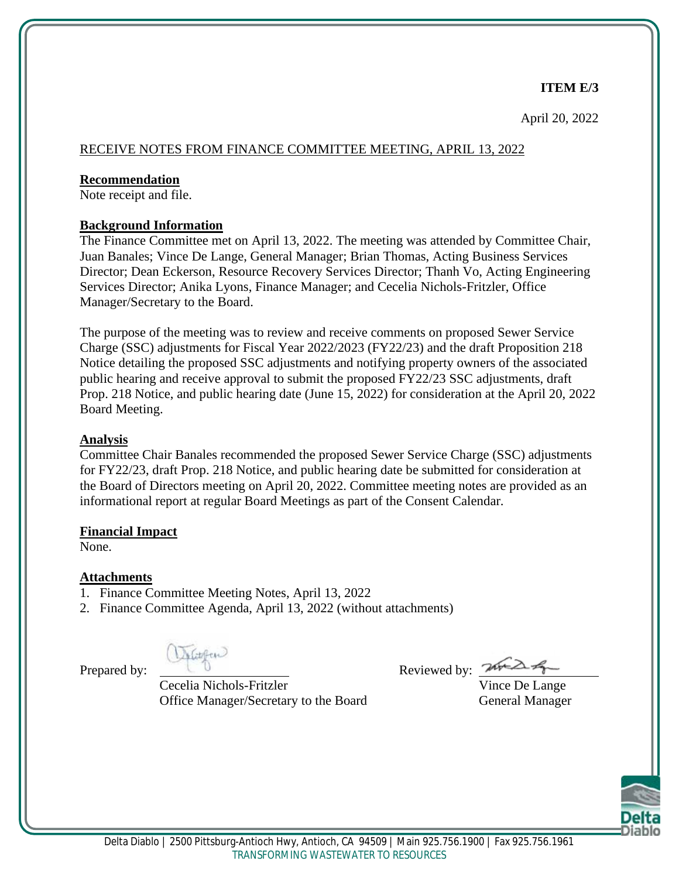April 20, 2022

### RECEIVE NOTES FROM FINANCE COMMITTEE MEETING, APRIL 13, 2022

#### **Recommendation**

Note receipt and file.

#### **Background Information**

The Finance Committee met on April 13, 2022. The meeting was attended by Committee Chair, Juan Banales; Vince De Lange, General Manager; Brian Thomas, Acting Business Services Director; Dean Eckerson, Resource Recovery Services Director; Thanh Vo, Acting Engineering Services Director; Anika Lyons, Finance Manager; and Cecelia Nichols-Fritzler, Office Manager/Secretary to the Board.

The purpose of the meeting was to review and receive comments on proposed Sewer Service Charge (SSC) adjustments for Fiscal Year 2022/2023 (FY22/23) and the draft Proposition 218 Notice detailing the proposed SSC adjustments and notifying property owners of the associated public hearing and receive approval to submit the proposed FY22/23 SSC adjustments, draft Prop. 218 Notice, and public hearing date (June 15, 2022) for consideration at the April 20, 2022 Board Meeting.

#### **Analysis**

Committee Chair Banales recommended the proposed Sewer Service Charge (SSC) adjustments for FY22/23, draft Prop. 218 Notice, and public hearing date be submitted for consideration at the Board of Directors meeting on April 20, 2022. Committee meeting notes are provided as an informational report at regular Board Meetings as part of the Consent Calendar.

### **Financial Impact**

None.

### **Attachments**

- 1. Finance Committee Meeting Notes, April 13, 2022
- 2. Finance Committee Agenda, April 13, 2022 (without attachments)

Prepared by:  $\sqrt{2}$ 

Cecelia Nichols-Fritzler Vince De Lange Office Manager/Secretary to the Board General Manager

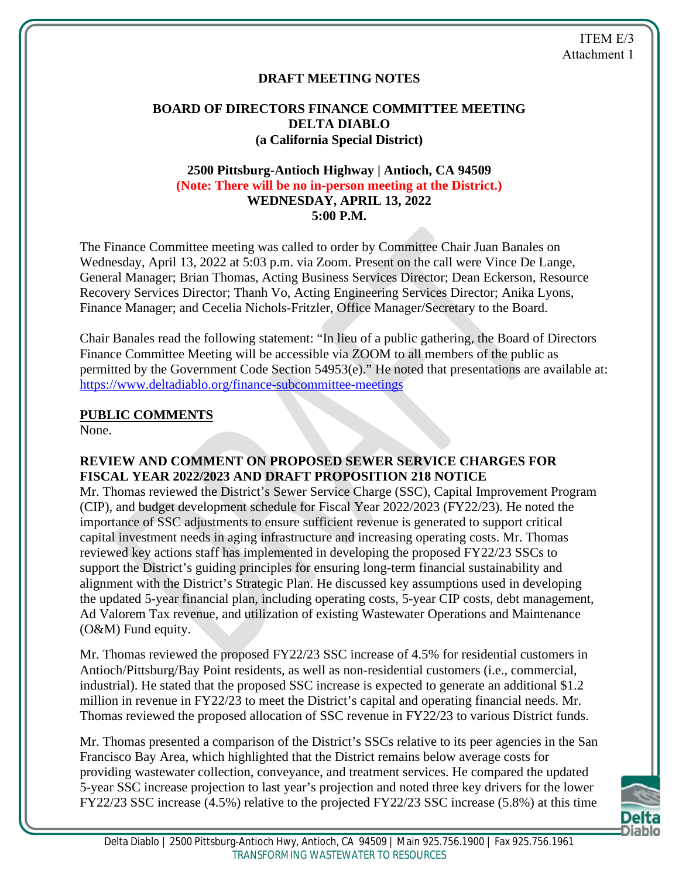ITEM E/3 Attachment 1

### **DRAFT MEETING NOTES**

### **BOARD OF DIRECTORS FINANCE COMMITTEE MEETING DELTA DIABLO (a California Special District)**

#### **2500 Pittsburg-Antioch Highway | Antioch, CA 94509 (Note: There will be no in-person meeting at the District.) WEDNESDAY, APRIL 13, 2022 5:00 P.M.**

The Finance Committee meeting was called to order by Committee Chair Juan Banales on Wednesday, April 13, 2022 at 5:03 p.m. via Zoom. Present on the call were Vince De Lange, General Manager; Brian Thomas, Acting Business Services Director; Dean Eckerson, Resource Recovery Services Director; Thanh Vo, Acting Engineering Services Director; Anika Lyons, Finance Manager; and Cecelia Nichols-Fritzler, Office Manager/Secretary to the Board.

Chair Banales read the following statement: "In lieu of a public gathering, the Board of Directors Finance Committee Meeting will be accessible via ZOOM to all members of the public as permitted by the Government Code Section 54953(e)." He noted that presentations are available at: https://www.deltadiablo.org/finance-subcommittee-meetings

#### **PUBLIC COMMENTS**

None.

### **REVIEW AND COMMENT ON PROPOSED SEWER SERVICE CHARGES FOR FISCAL YEAR 2022/2023 AND DRAFT PROPOSITION 218 NOTICE**

Mr. Thomas reviewed the District's Sewer Service Charge (SSC), Capital Improvement Program (CIP), and budget development schedule for Fiscal Year 2022/2023 (FY22/23). He noted the importance of SSC adjustments to ensure sufficient revenue is generated to support critical capital investment needs in aging infrastructure and increasing operating costs. Mr. Thomas reviewed key actions staff has implemented in developing the proposed FY22/23 SSCs to support the District's guiding principles for ensuring long-term financial sustainability and alignment with the District's Strategic Plan. He discussed key assumptions used in developing the updated 5-year financial plan, including operating costs, 5-year CIP costs, debt management, Ad Valorem Tax revenue, and utilization of existing Wastewater Operations and Maintenance (O&M) Fund equity.

Mr. Thomas reviewed the proposed FY22/23 SSC increase of 4.5% for residential customers in Antioch/Pittsburg/Bay Point residents, as well as non-residential customers (i.e., commercial, industrial). He stated that the proposed SSC increase is expected to generate an additional \$1.2 million in revenue in FY22/23 to meet the District's capital and operating financial needs. Mr. Thomas reviewed the proposed allocation of SSC revenue in FY22/23 to various District funds.

Mr. Thomas presented a comparison of the District's SSCs relative to its peer agencies in the San Francisco Bay Area, which highlighted that the District remains below average costs for providing wastewater collection, conveyance, and treatment services. He compared the updated 5-year SSC increase projection to last year's projection and noted three key drivers for the lower FY22/23 SSC increase (4.5%) relative to the projected FY22/23 SSC increase (5.8%) at this time

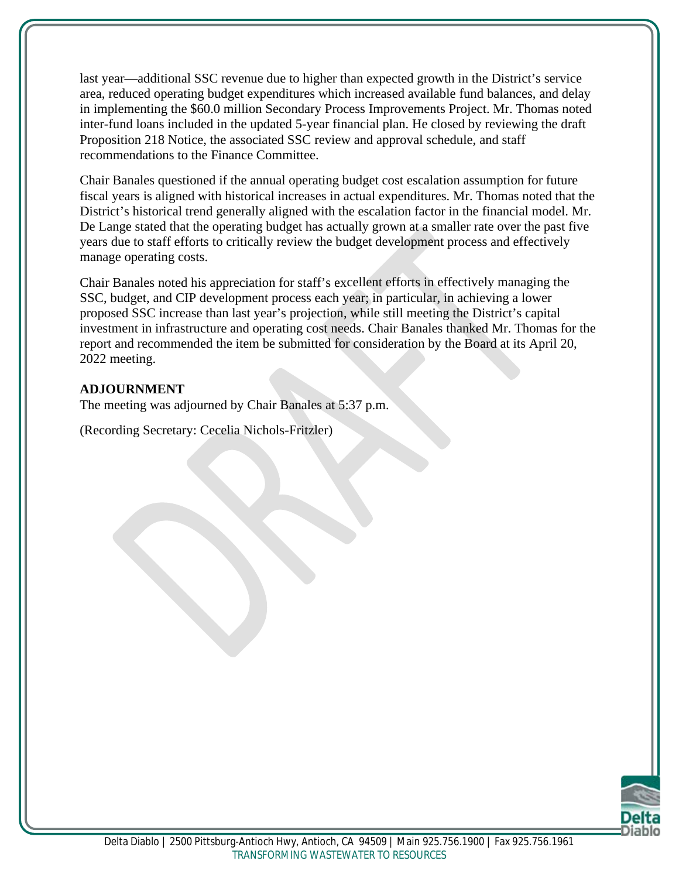last year—additional SSC revenue due to higher than expected growth in the District's service area, reduced operating budget expenditures which increased available fund balances, and delay in implementing the \$60.0 million Secondary Process Improvements Project. Mr. Thomas noted inter-fund loans included in the updated 5-year financial plan. He closed by reviewing the draft Proposition 218 Notice, the associated SSC review and approval schedule, and staff recommendations to the Finance Committee.

Chair Banales questioned if the annual operating budget cost escalation assumption for future fiscal years is aligned with historical increases in actual expenditures. Mr. Thomas noted that the District's historical trend generally aligned with the escalation factor in the financial model. Mr. De Lange stated that the operating budget has actually grown at a smaller rate over the past five years due to staff efforts to critically review the budget development process and effectively manage operating costs.

Chair Banales noted his appreciation for staff's excellent efforts in effectively managing the SSC, budget, and CIP development process each year; in particular, in achieving a lower proposed SSC increase than last year's projection, while still meeting the District's capital investment in infrastructure and operating cost needs. Chair Banales thanked Mr. Thomas for the report and recommended the item be submitted for consideration by the Board at its April 20, 2022 meeting.

### **ADJOURNMENT**

The meeting was adjourned by Chair Banales at 5:37 p.m.

(Recording Secretary: Cecelia Nichols-Fritzler)

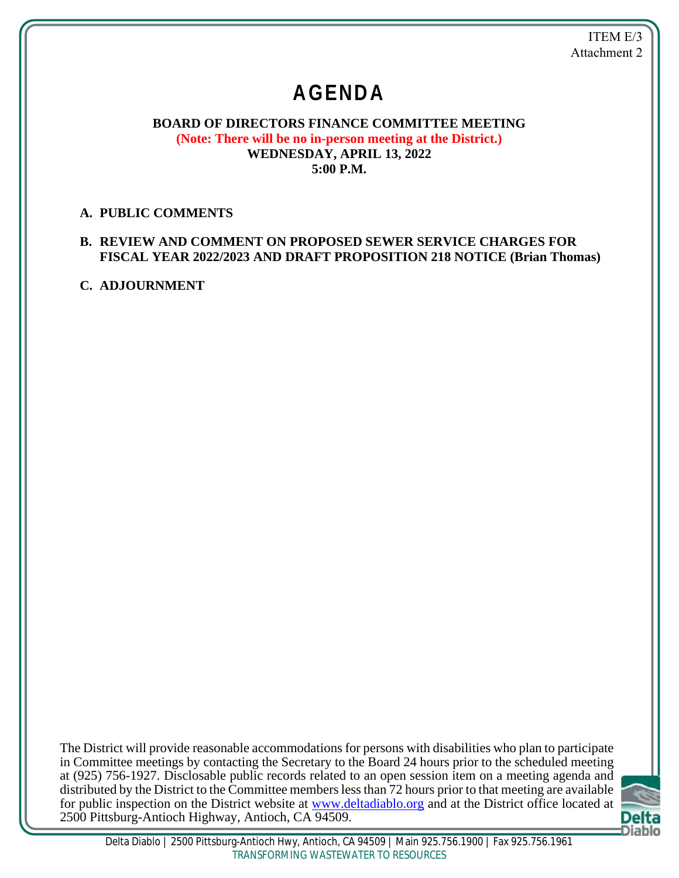ITEM E/3 Attachment 2

# **AGENDA**

### **BOARD OF DIRECTORS FINANCE COMMITTEE MEETING (Note: There will be no in-person meeting at the District.) WEDNESDAY, APRIL 13, 2022 5:00 P.M.**

### **A. PUBLIC COMMENTS**

### **B. REVIEW AND COMMENT ON PROPOSED SEWER SERVICE CHARGES FOR FISCAL YEAR 2022/2023 AND DRAFT PROPOSITION 218 NOTICE (Brian Thomas)**

**C. ADJOURNMENT**

The District will provide reasonable accommodations for persons with disabilities who plan to participate in Committee meetings by contacting the Secretary to the Board 24 hours prior to the scheduled meeting at (925) 756-1927. Disclosable public records related to an open session item on a meeting agenda and distributed by the District to the Committee members less than 72 hours prior to that meeting are available for public inspection on the District website at www.deltadiablo.org and at the District office located at 2500 Pittsburg-Antioch Highway, Antioch, CA 94509.

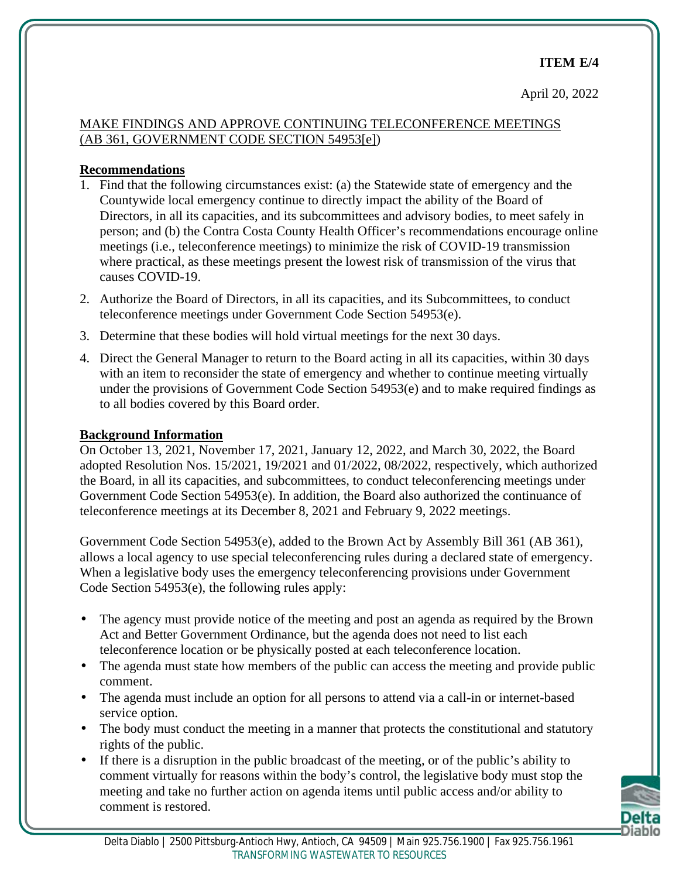April 20, 2022

### MAKE FINDINGS AND APPROVE CONTINUING TELECONFERENCE MEETINGS (AB 361, GOVERNMENT CODE SECTION 54953[e])

### **Recommendations**

- 1. Find that the following circumstances exist: (a) the Statewide state of emergency and the Countywide local emergency continue to directly impact the ability of the Board of Directors, in all its capacities, and its subcommittees and advisory bodies, to meet safely in person; and (b) the Contra Costa County Health Officer's recommendations encourage online meetings (i.e., teleconference meetings) to minimize the risk of COVID-19 transmission where practical, as these meetings present the lowest risk of transmission of the virus that causes COVID-19.
- 2. Authorize the Board of Directors, in all its capacities, and its Subcommittees, to conduct teleconference meetings under Government Code Section 54953(e).
- 3. Determine that these bodies will hold virtual meetings for the next 30 days.
- 4. Direct the General Manager to return to the Board acting in all its capacities, within 30 days with an item to reconsider the state of emergency and whether to continue meeting virtually under the provisions of Government Code Section 54953(e) and to make required findings as to all bodies covered by this Board order.

### **Background Information**

On October 13, 2021, November 17, 2021, January 12, 2022, and March 30, 2022, the Board adopted Resolution Nos. 15/2021, 19/2021 and 01/2022, 08/2022, respectively, which authorized the Board, in all its capacities, and subcommittees, to conduct teleconferencing meetings under Government Code Section 54953(e). In addition, the Board also authorized the continuance of teleconference meetings at its December 8, 2021 and February 9, 2022 meetings.

Government Code Section 54953(e), added to the Brown Act by Assembly Bill 361 (AB 361), allows a local agency to use special teleconferencing rules during a declared state of emergency. When a legislative body uses the emergency teleconferencing provisions under Government Code Section 54953(e), the following rules apply:

- The agency must provide notice of the meeting and post an agenda as required by the Brown Act and Better Government Ordinance, but the agenda does not need to list each teleconference location or be physically posted at each teleconference location.
- The agenda must state how members of the public can access the meeting and provide public comment.
- The agenda must include an option for all persons to attend via a call-in or internet-based service option.
- The body must conduct the meeting in a manner that protects the constitutional and statutory  $\mathcal{L}^{\text{max}}$ rights of the public.
- If there is a disruption in the public broadcast of the meeting, or of the public's ability to comment virtually for reasons within the body's control, the legislative body must stop the meeting and take no further action on agenda items until public access and/or ability to comment is restored.

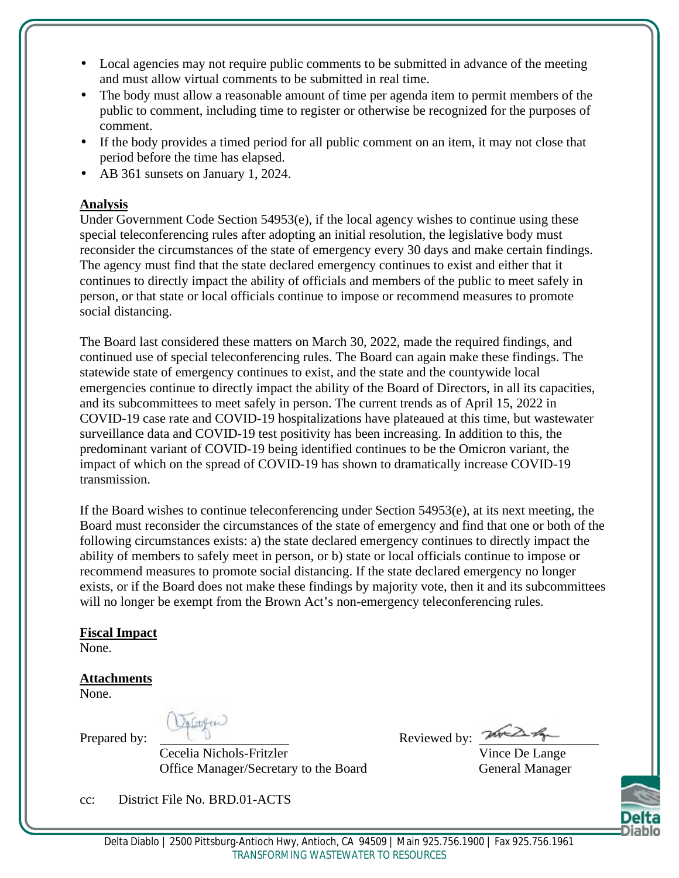- Local agencies may not require public comments to be submitted in advance of the meeting and must allow virtual comments to be submitted in real time.
- The body must allow a reasonable amount of time per agenda item to permit members of the public to comment, including time to register or otherwise be recognized for the purposes of comment.
- If the body provides a timed period for all public comment on an item, it may not close that period before the time has elapsed.
- AB 361 sunsets on January 1, 2024.

### **Analysis**

Under Government Code Section 54953(e), if the local agency wishes to continue using these special teleconferencing rules after adopting an initial resolution, the legislative body must reconsider the circumstances of the state of emergency every 30 days and make certain findings. The agency must find that the state declared emergency continues to exist and either that it continues to directly impact the ability of officials and members of the public to meet safely in person, or that state or local officials continue to impose or recommend measures to promote social distancing.

The Board last considered these matters on March 30, 2022, made the required findings, and continued use of special teleconferencing rules. The Board can again make these findings. The statewide state of emergency continues to exist, and the state and the countywide local emergencies continue to directly impact the ability of the Board of Directors, in all its capacities, and its subcommittees to meet safely in person. The current trends as of April 15, 2022 in COVID-19 case rate and COVID-19 hospitalizations have plateaued at this time, but wastewater surveillance data and COVID-19 test positivity has been increasing. In addition to this, the predominant variant of COVID-19 being identified continues to be the Omicron variant, the impact of which on the spread of COVID-19 has shown to dramatically increase COVID-19 transmission.

If the Board wishes to continue teleconferencing under Section 54953(e), at its next meeting, the Board must reconsider the circumstances of the state of emergency and find that one or both of the following circumstances exists: a) the state declared emergency continues to directly impact the ability of members to safely meet in person, or b) state or local officials continue to impose or recommend measures to promote social distancing. If the state declared emergency no longer exists, or if the Board does not make these findings by majority vote, then it and its subcommittees will no longer be exempt from the Brown Act's non-emergency teleconferencing rules.

### **Fiscal Impact**

None.

### **Attachments**

None.

Cecelia Nichols-Fritzler Vince De Lange Office Manager/Secretary to the Board General Manager

Prepared by:  $\mathbb{R}^n$  Reviewed by:  $\mathbb{R}^n$ 

cc: District File No. BRD.01-ACTS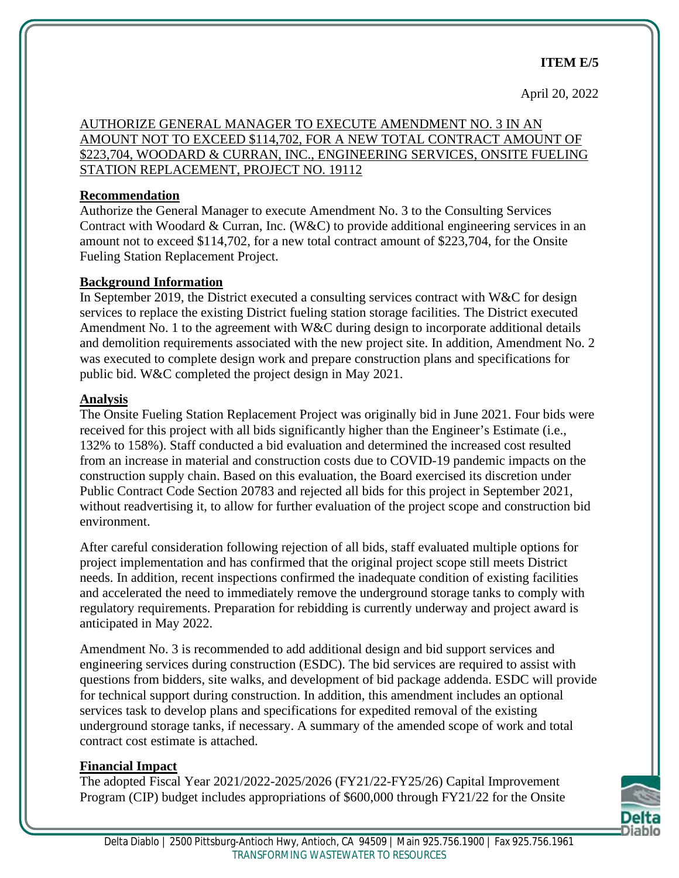April 20, 2022

### AUTHORIZE GENERAL MANAGER TO EXECUTE AMENDMENT NO. 3 IN AN AMOUNT NOT TO EXCEED \$114,702, FOR A NEW TOTAL CONTRACT AMOUNT OF \$223,704, WOODARD & CURRAN, INC., ENGINEERING SERVICES, ONSITE FUELING STATION REPLACEMENT, PROJECT NO. 19112

### **Recommendation**

Authorize the General Manager to execute Amendment No. 3 to the Consulting Services Contract with Woodard & Curran, Inc. (W&C) to provide additional engineering services in an amount not to exceed \$114,702, for a new total contract amount of \$223,704, for the Onsite Fueling Station Replacement Project.

### **Background Information**

In September 2019, the District executed a consulting services contract with W&C for design services to replace the existing District fueling station storage facilities. The District executed Amendment No. 1 to the agreement with W&C during design to incorporate additional details and demolition requirements associated with the new project site. In addition, Amendment No. 2 was executed to complete design work and prepare construction plans and specifications for public bid. W&C completed the project design in May 2021.

### **Analysis**

The Onsite Fueling Station Replacement Project was originally bid in June 2021. Four bids were received for this project with all bids significantly higher than the Engineer's Estimate (i.e., 132% to 158%). Staff conducted a bid evaluation and determined the increased cost resulted from an increase in material and construction costs due to COVID-19 pandemic impacts on the construction supply chain. Based on this evaluation, the Board exercised its discretion under Public Contract Code Section 20783 and rejected all bids for this project in September 2021, without readvertising it, to allow for further evaluation of the project scope and construction bid environment.

After careful consideration following rejection of all bids, staff evaluated multiple options for project implementation and has confirmed that the original project scope still meets District needs. In addition, recent inspections confirmed the inadequate condition of existing facilities and accelerated the need to immediately remove the underground storage tanks to comply with regulatory requirements. Preparation for rebidding is currently underway and project award is anticipated in May 2022.

Amendment No. 3 is recommended to add additional design and bid support services and engineering services during construction (ESDC). The bid services are required to assist with questions from bidders, site walks, and development of bid package addenda. ESDC will provide for technical support during construction. In addition, this amendment includes an optional services task to develop plans and specifications for expedited removal of the existing underground storage tanks, if necessary. A summary of the amended scope of work and total contract cost estimate is attached.

### **Financial Impact**

The adopted Fiscal Year 2021/2022-2025/2026 (FY21/22-FY25/26) Capital Improvement Program (CIP) budget includes appropriations of \$600,000 through FY21/22 for the Onsite

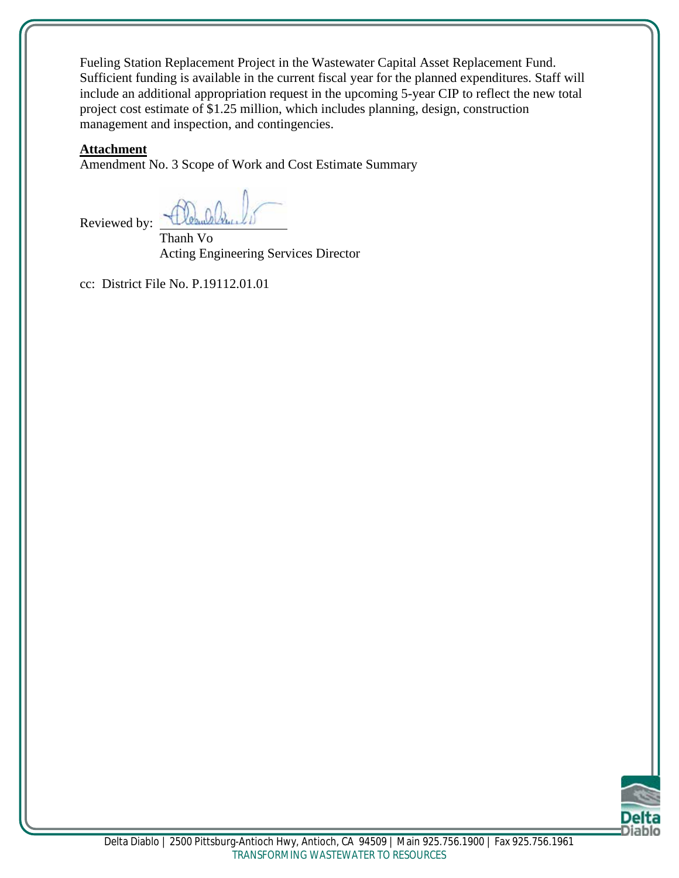Fueling Station Replacement Project in the Wastewater Capital Asset Replacement Fund. Sufficient funding is available in the current fiscal year for the planned expenditures. Staff will include an additional appropriation request in the upcoming 5-year CIP to reflect the new total project cost estimate of \$1.25 million, which includes planning, design, construction management and inspection, and contingencies.

### **Attachment**

Amendment No. 3 Scope of Work and Cost Estimate Summary

Reviewed by:

Thanh Vo Acting Engineering Services Director

cc: District File No. P.19112.01.01

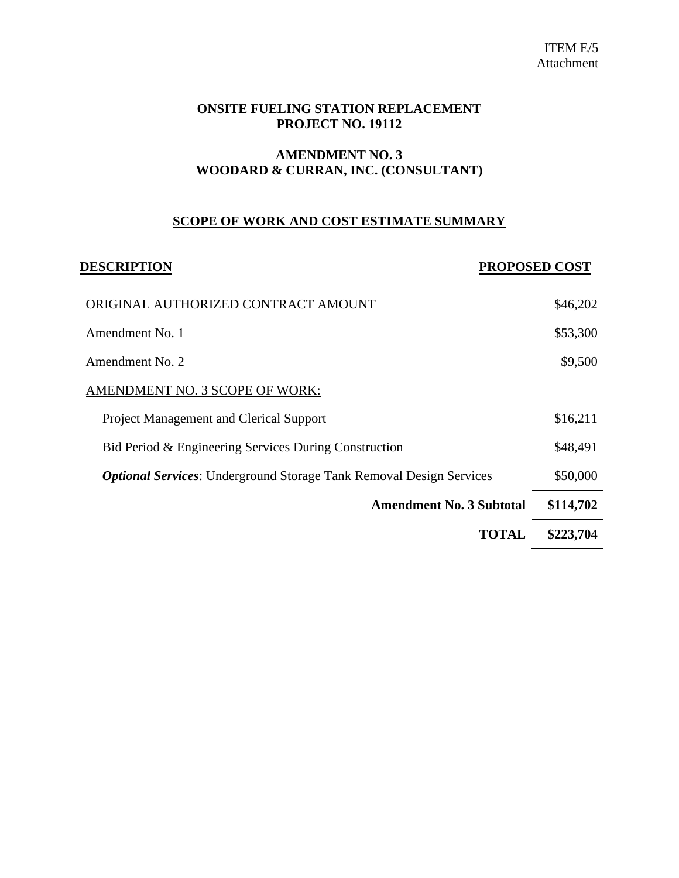### **ONSITE FUELING STATION REPLACEMENT PROJECT NO. 19112**

### **AMENDMENT NO. 3 WOODARD & CURRAN, INC. (CONSULTANT)**

### **SCOPE OF WORK AND COST ESTIMATE SUMMARY**

#### **DESCRIPTION PROPOSED COST**

| <b>TOTAL</b>                                                               | \$223,704 |
|----------------------------------------------------------------------------|-----------|
| <b>Amendment No. 3 Subtotal</b>                                            | \$114,702 |
| <b>Optional Services:</b> Underground Storage Tank Removal Design Services | \$50,000  |
| Bid Period & Engineering Services During Construction                      | \$48,491  |
| <b>Project Management and Clerical Support</b>                             | \$16,211  |
| AMENDMENT NO. 3 SCOPE OF WORK:                                             |           |
| Amendment No. 2                                                            | \$9,500   |
| Amendment No. 1                                                            | \$53,300  |
| ORIGINAL AUTHORIZED CONTRACT AMOUNT                                        | \$46,202  |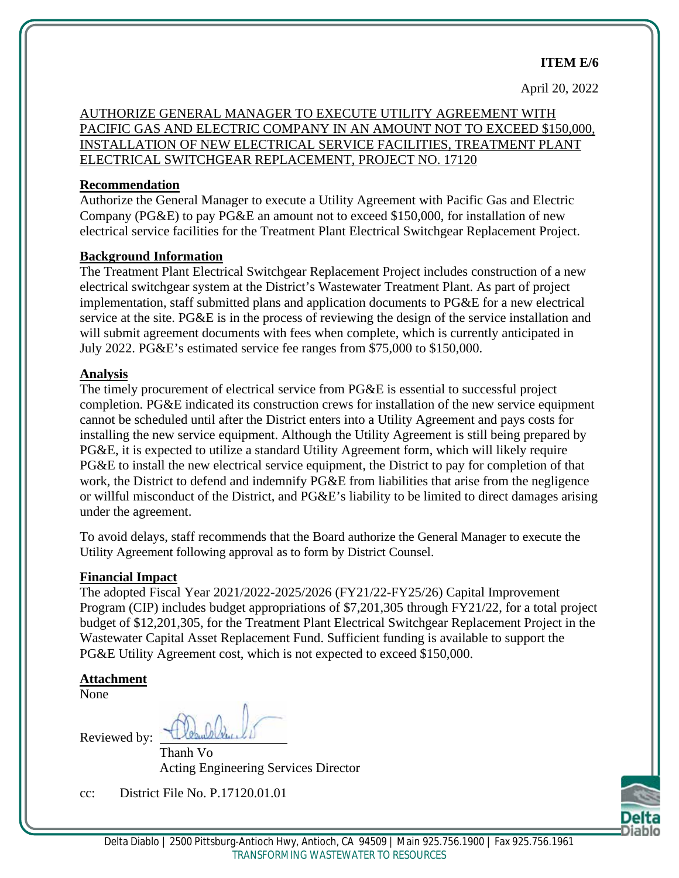April 20, 2022

AUTHORIZE GENERAL MANAGER TO EXECUTE UTILITY AGREEMENT WITH PACIFIC GAS AND ELECTRIC COMPANY IN AN AMOUNT NOT TO EXCEED \$150,000, INSTALLATION OF NEW ELECTRICAL SERVICE FACILITIES, TREATMENT PLANT ELECTRICAL SWITCHGEAR REPLACEMENT, PROJECT NO. 17120

#### **Recommendation**

Authorize the General Manager to execute a Utility Agreement with Pacific Gas and Electric Company (PG&E) to pay PG&E an amount not to exceed \$150,000, for installation of new electrical service facilities for the Treatment Plant Electrical Switchgear Replacement Project.

#### **Background Information**

The Treatment Plant Electrical Switchgear Replacement Project includes construction of a new electrical switchgear system at the District's Wastewater Treatment Plant. As part of project implementation, staff submitted plans and application documents to PG&E for a new electrical service at the site. PG&E is in the process of reviewing the design of the service installation and will submit agreement documents with fees when complete, which is currently anticipated in July 2022. PG&E's estimated service fee ranges from \$75,000 to \$150,000.

#### **Analysis**

The timely procurement of electrical service from PG&E is essential to successful project completion. PG&E indicated its construction crews for installation of the new service equipment cannot be scheduled until after the District enters into a Utility Agreement and pays costs for installing the new service equipment. Although the Utility Agreement is still being prepared by PG&E, it is expected to utilize a standard Utility Agreement form, which will likely require PG&E to install the new electrical service equipment, the District to pay for completion of that work, the District to defend and indemnify PG&E from liabilities that arise from the negligence or willful misconduct of the District, and PG&E's liability to be limited to direct damages arising under the agreement.

To avoid delays, staff recommends that the Board authorize the General Manager to execute the Utility Agreement following approval as to form by District Counsel.

#### **Financial Impact**

The adopted Fiscal Year 2021/2022-2025/2026 (FY21/22-FY25/26) Capital Improvement Program (CIP) includes budget appropriations of \$7,201,305 through FY21/22, for a total project budget of \$12,201,305, for the Treatment Plant Electrical Switchgear Replacement Project in the Wastewater Capital Asset Replacement Fund. Sufficient funding is available to support the PG&E Utility Agreement cost, which is not expected to exceed \$150,000.

### **Attachment**

None

Reviewed by:

Thanh Vo Acting Engineering Services Director

cc: District File No. P.17120.01.01

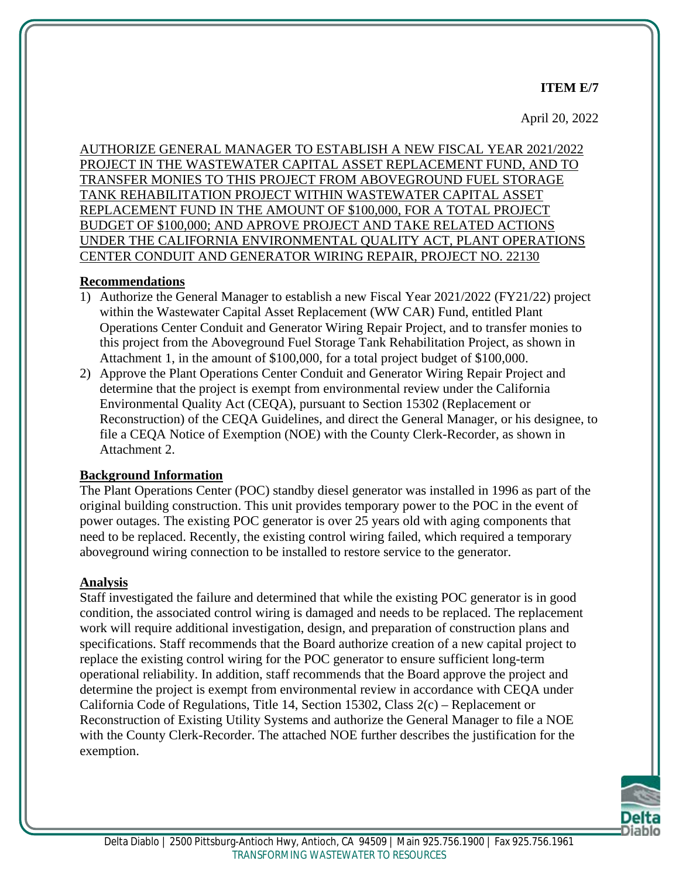April 20, 2022

AUTHORIZE GENERAL MANAGER TO ESTABLISH A NEW FISCAL YEAR 2021/2022 PROJECT IN THE WASTEWATER CAPITAL ASSET REPLACEMENT FUND, AND TO TRANSFER MONIES TO THIS PROJECT FROM ABOVEGROUND FUEL STORAGE TANK REHABILITATION PROJECT WITHIN WASTEWATER CAPITAL ASSET REPLACEMENT FUND IN THE AMOUNT OF \$100,000, FOR A TOTAL PROJECT BUDGET OF \$100,000; AND APROVE PROJECT AND TAKE RELATED ACTIONS UNDER THE CALIFORNIA ENVIRONMENTAL QUALITY ACT, PLANT OPERATIONS CENTER CONDUIT AND GENERATOR WIRING REPAIR, PROJECT NO. 22130

### **Recommendations**

- 1) Authorize the General Manager to establish a new Fiscal Year 2021/2022 (FY21/22) project within the Wastewater Capital Asset Replacement (WW CAR) Fund, entitled Plant Operations Center Conduit and Generator Wiring Repair Project, and to transfer monies to this project from the Aboveground Fuel Storage Tank Rehabilitation Project, as shown in Attachment 1, in the amount of \$100,000, for a total project budget of \$100,000.
- 2) Approve the Plant Operations Center Conduit and Generator Wiring Repair Project and determine that the project is exempt from environmental review under the California Environmental Quality Act (CEQA), pursuant to Section 15302 (Replacement or Reconstruction) of the CEQA Guidelines, and direct the General Manager, or his designee, to file a CEQA Notice of Exemption (NOE) with the County Clerk-Recorder, as shown in Attachment 2.

### **Background Information**

The Plant Operations Center (POC) standby diesel generator was installed in 1996 as part of the original building construction. This unit provides temporary power to the POC in the event of power outages. The existing POC generator is over 25 years old with aging components that need to be replaced. Recently, the existing control wiring failed, which required a temporary aboveground wiring connection to be installed to restore service to the generator.

### **Analysis**

Staff investigated the failure and determined that while the existing POC generator is in good condition, the associated control wiring is damaged and needs to be replaced. The replacement work will require additional investigation, design, and preparation of construction plans and specifications. Staff recommends that the Board authorize creation of a new capital project to replace the existing control wiring for the POC generator to ensure sufficient long-term operational reliability. In addition, staff recommends that the Board approve the project and determine the project is exempt from environmental review in accordance with CEQA under California Code of Regulations, Title 14, Section 15302, Class 2(c) – Replacement or Reconstruction of Existing Utility Systems and authorize the General Manager to file a NOE with the County Clerk-Recorder. The attached NOE further describes the justification for the exemption.

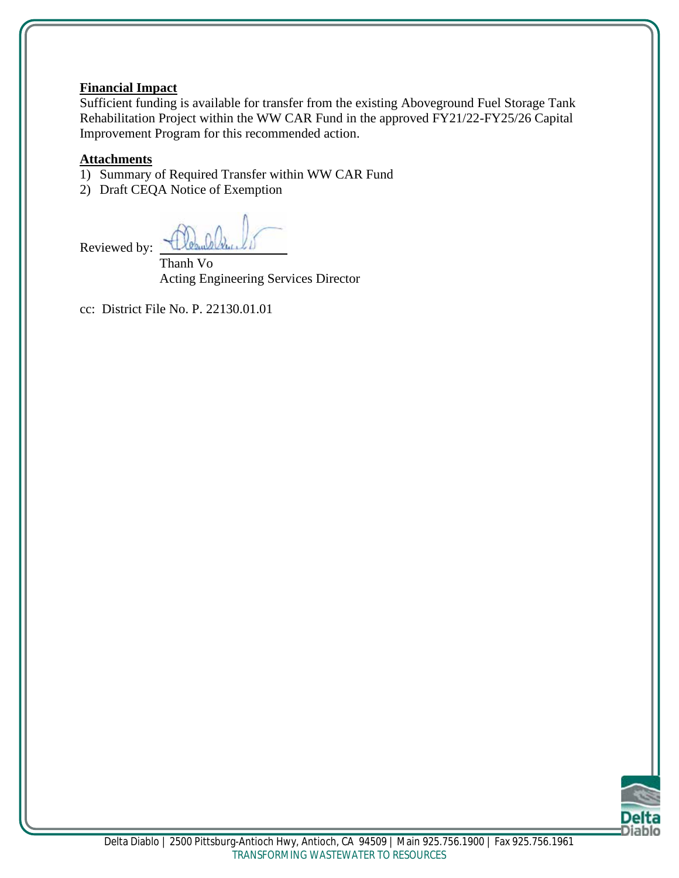### **Financial Impact**

Sufficient funding is available for transfer from the existing Aboveground Fuel Storage Tank Rehabilitation Project within the WW CAR Fund in the approved FY21/22-FY25/26 Capital Improvement Program for this recommended action.

### **Attachments**

- 1) Summary of Required Transfer within WW CAR Fund
- 2) Draft CEQA Notice of Exemption

Reviewed by:

Thanh Vo Acting Engineering Services Director

cc: District File No. P. 22130.01.01

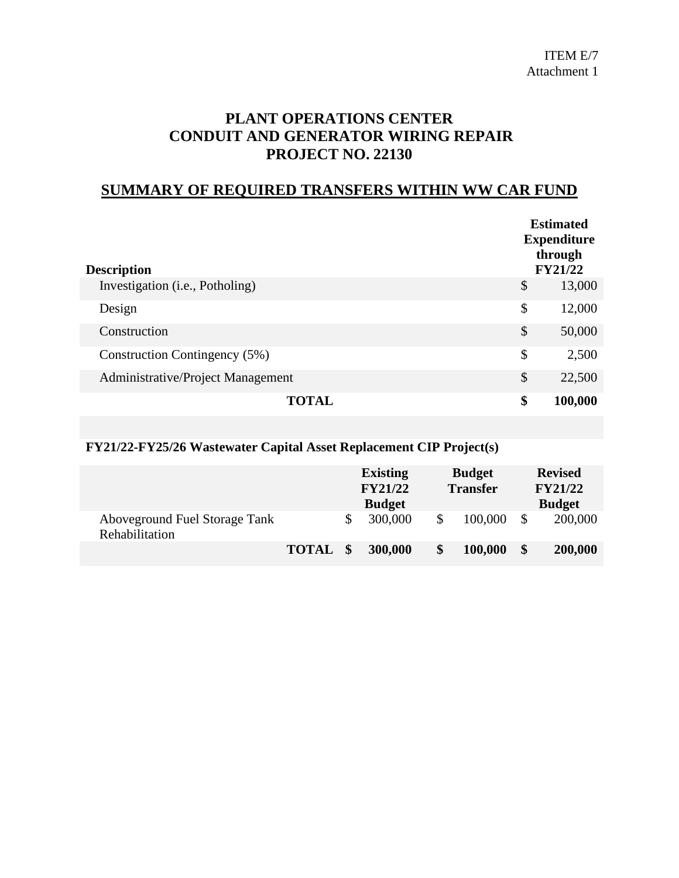### **PLANT OPERATIONS CENTER CONDUIT AND GENERATOR WIRING REPAIR PROJECT NO. 22130**

### **SUMMARY OF REQUIRED TRANSFERS WITHIN WW CAR FUND**

| Description                              | <b>Estimated</b><br><b>Expenditure</b><br>through<br><b>FY21/22</b> |
|------------------------------------------|---------------------------------------------------------------------|
| Investigation ( <i>i.e.</i> , Potholing) | \$<br>13,000                                                        |
| Design                                   | \$<br>12,000                                                        |
| Construction                             | \$<br>50,000                                                        |
| Construction Contingency (5%)            | \$<br>2,500                                                         |
| Administrative/Project Management        | \$<br>22,500                                                        |
| <b>TOTAL</b>                             | \$<br>100,000                                                       |

### **FY21/22-FY25/26 Wastewater Capital Asset Replacement CIP Project(s)**

|                                                 |              |     | <b>Existing</b><br><b>FY21/22</b><br><b>Budget</b> | <b>Budget</b><br><b>Transfer</b> | <b>Revised</b><br><b>FY21/22</b><br><b>Budget</b> |
|-------------------------------------------------|--------------|-----|----------------------------------------------------|----------------------------------|---------------------------------------------------|
| Aboveground Fuel Storage Tank<br>Rehabilitation |              |     | 300,000                                            | 100,000                          | 200,000                                           |
|                                                 | <b>TOTAL</b> | -\$ | 300,000                                            | 100,000                          | \$<br>200,000                                     |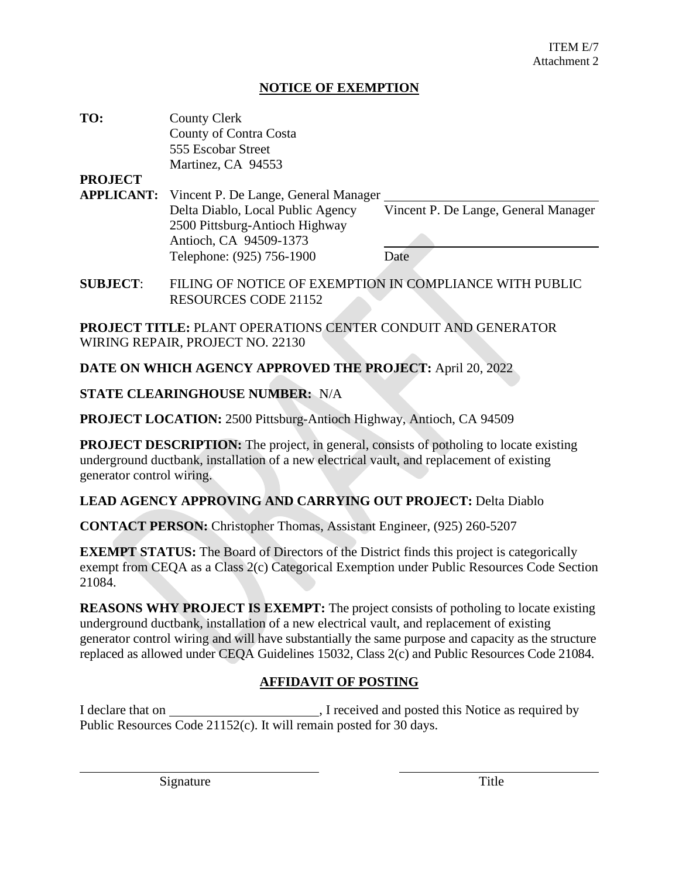### **NOTICE OF EXEMPTION**

| TO: | <b>County Clerk</b>    |
|-----|------------------------|
|     | County of Contra Costa |
|     | 555 Escobar Street     |
|     | Martinez, CA 94553     |

**PROJECT**

**APPLICANT:** Vincent P. De Lange, General Manager Delta Diablo, Local Public Agency Vincent P. De Lange, General Manager 2500 Pittsburg-Antioch Highway Antioch, CA 94509-1373 Telephone: (925) 756-1900 Date

**SUBJECT**: FILING OF NOTICE OF EXEMPTION IN COMPLIANCE WITH PUBLIC RESOURCES CODE 21152

**PROJECT TITLE:** PLANT OPERATIONS CENTER CONDUIT AND GENERATOR WIRING REPAIR, PROJECT NO. 22130

**DATE ON WHICH AGENCY APPROVED THE PROJECT:** April 20, 2022

#### **STATE CLEARINGHOUSE NUMBER:** N/A

**PROJECT LOCATION:** 2500 Pittsburg-Antioch Highway, Antioch, CA 94509

**PROJECT DESCRIPTION:** The project, in general, consists of potholing to locate existing underground ductbank, installation of a new electrical vault, and replacement of existing generator control wiring.

#### **LEAD AGENCY APPROVING AND CARRYING OUT PROJECT:** Delta Diablo

**CONTACT PERSON:** Christopher Thomas, Assistant Engineer, (925) 260-5207

**EXEMPT STATUS:** The Board of Directors of the District finds this project is categorically exempt from CEQA as a Class 2(c) Categorical Exemption under Public Resources Code Section 21084.

**REASONS WHY PROJECT IS EXEMPT:** The project consists of potholing to locate existing underground ductbank, installation of a new electrical vault, and replacement of existing generator control wiring and will have substantially the same purpose and capacity as the structure replaced as allowed under CEQA Guidelines 15032, Class 2(c) and Public Resources Code 21084.

### **AFFIDAVIT OF POSTING**

I declare that on , I received and posted this Notice as required by Public Resources Code 21152(c). It will remain posted for 30 days.

Signature Title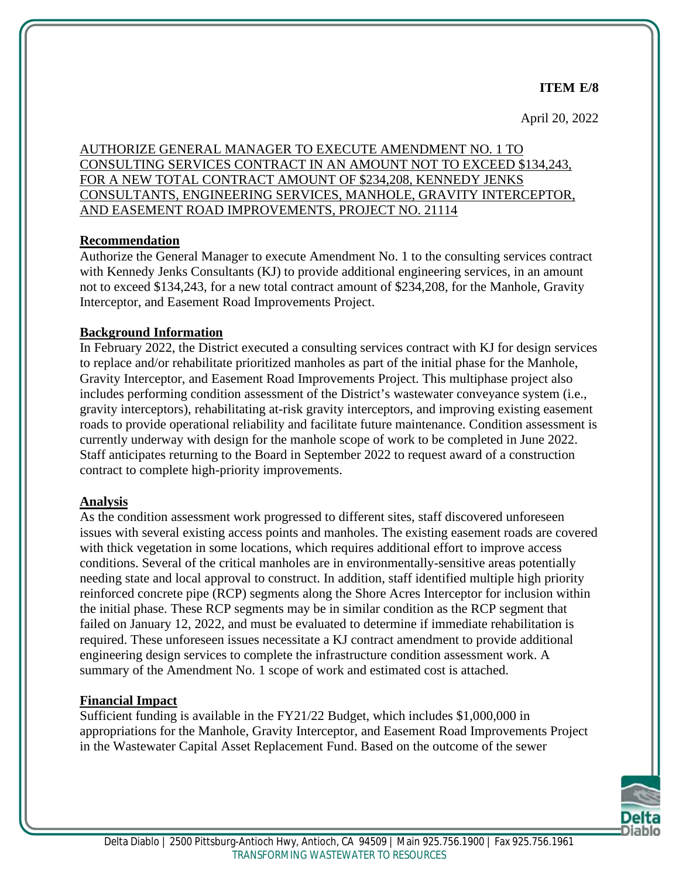April 20, 2022

AUTHORIZE GENERAL MANAGER TO EXECUTE AMENDMENT NO. 1 TO CONSULTING SERVICES CONTRACT IN AN AMOUNT NOT TO EXCEED \$134,243, FOR A NEW TOTAL CONTRACT AMOUNT OF \$234,208, KENNEDY JENKS CONSULTANTS, ENGINEERING SERVICES, MANHOLE, GRAVITY INTERCEPTOR, AND EASEMENT ROAD IMPROVEMENTS, PROJECT NO. 21114

### **Recommendation**

Authorize the General Manager to execute Amendment No. 1 to the consulting services contract with Kennedy Jenks Consultants (KJ) to provide additional engineering services, in an amount not to exceed \$134,243, for a new total contract amount of \$234,208, for the Manhole, Gravity Interceptor, and Easement Road Improvements Project.

### **Background Information**

In February 2022, the District executed a consulting services contract with KJ for design services to replace and/or rehabilitate prioritized manholes as part of the initial phase for the Manhole, Gravity Interceptor, and Easement Road Improvements Project. This multiphase project also includes performing condition assessment of the District's wastewater conveyance system (i.e., gravity interceptors), rehabilitating at-risk gravity interceptors, and improving existing easement roads to provide operational reliability and facilitate future maintenance. Condition assessment is currently underway with design for the manhole scope of work to be completed in June 2022. Staff anticipates returning to the Board in September 2022 to request award of a construction contract to complete high-priority improvements.

### **Analysis**

As the condition assessment work progressed to different sites, staff discovered unforeseen issues with several existing access points and manholes. The existing easement roads are covered with thick vegetation in some locations, which requires additional effort to improve access conditions. Several of the critical manholes are in environmentally-sensitive areas potentially needing state and local approval to construct. In addition, staff identified multiple high priority reinforced concrete pipe (RCP) segments along the Shore Acres Interceptor for inclusion within the initial phase. These RCP segments may be in similar condition as the RCP segment that failed on January 12, 2022, and must be evaluated to determine if immediate rehabilitation is required. These unforeseen issues necessitate a KJ contract amendment to provide additional engineering design services to complete the infrastructure condition assessment work. A summary of the Amendment No. 1 scope of work and estimated cost is attached.

### **Financial Impact**

Sufficient funding is available in the FY21/22 Budget, which includes \$1,000,000 in appropriations for the Manhole, Gravity Interceptor, and Easement Road Improvements Project in the Wastewater Capital Asset Replacement Fund. Based on the outcome of the sewer

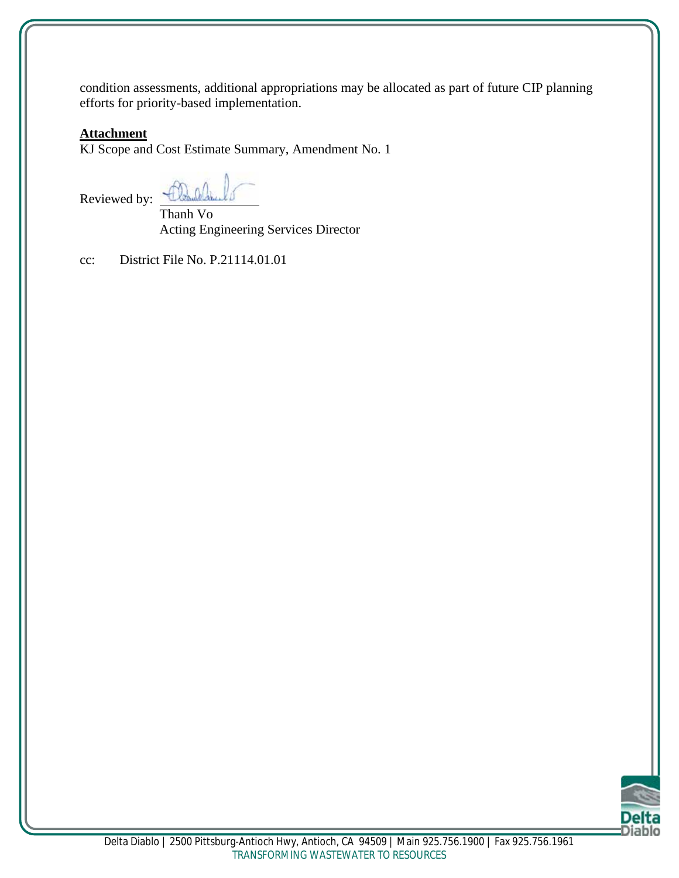condition assessments, additional appropriations may be allocated as part of future CIP planning efforts for priority-based implementation.

### **Attachment**

KJ Scope and Cost Estimate Summary, Amendment No. 1

Reviewed by:

Thanh Vo Acting Engineering Services Director

cc: District File No. P.21114.01.01

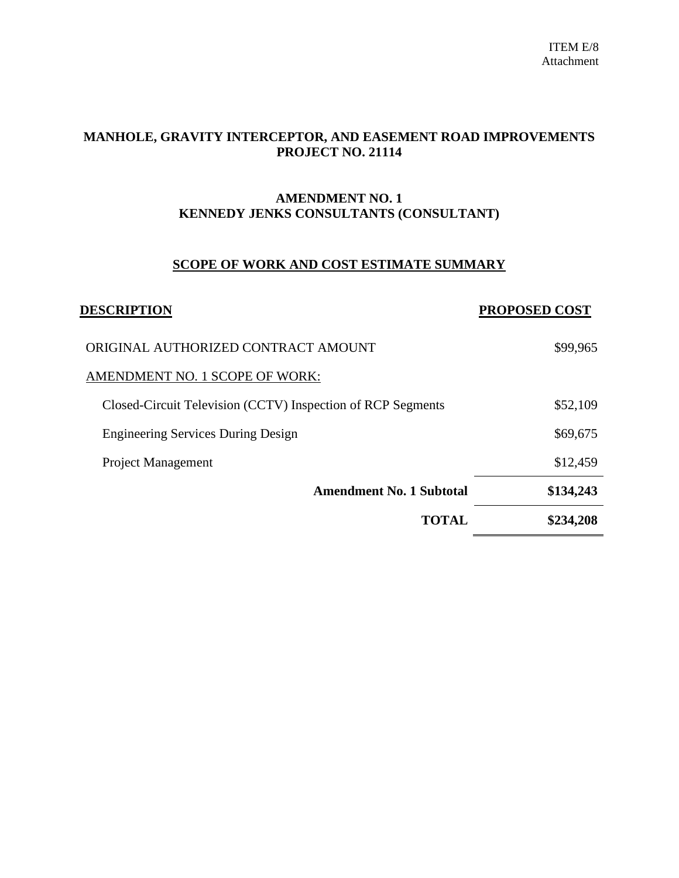### **MANHOLE, GRAVITY INTERCEPTOR, AND EASEMENT ROAD IMPROVEMENTS PROJECT NO. 21114**

### **AMENDMENT NO. 1 KENNEDY JENKS CONSULTANTS (CONSULTANT)**

### **SCOPE OF WORK AND COST ESTIMATE SUMMARY**

| <b>DESCRIPTION</b>                                          | <b>PROPOSED COST</b> |
|-------------------------------------------------------------|----------------------|
| ORIGINAL AUTHORIZED CONTRACT AMOUNT                         | \$99,965             |
| AMENDMENT NO. 1 SCOPE OF WORK:                              |                      |
| Closed-Circuit Television (CCTV) Inspection of RCP Segments | \$52,109             |
| <b>Engineering Services During Design</b>                   | \$69,675             |
| <b>Project Management</b>                                   | \$12,459             |
| <b>Amendment No. 1 Subtotal</b>                             | \$134,243            |
| <b>TOTAL</b>                                                | \$234,208            |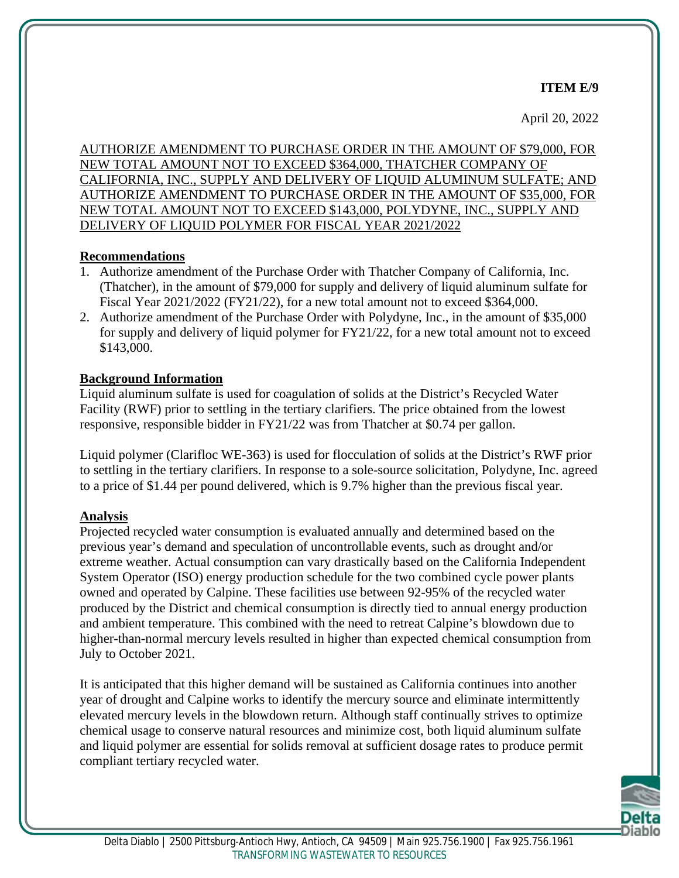April 20, 2022

AUTHORIZE AMENDMENT TO PURCHASE ORDER IN THE AMOUNT OF \$79,000, FOR NEW TOTAL AMOUNT NOT TO EXCEED \$364,000, THATCHER COMPANY OF CALIFORNIA, INC., SUPPLY AND DELIVERY OF LIQUID ALUMINUM SULFATE; AND AUTHORIZE AMENDMENT TO PURCHASE ORDER IN THE AMOUNT OF \$35,000, FOR NEW TOTAL AMOUNT NOT TO EXCEED \$143,000, POLYDYNE, INC., SUPPLY AND DELIVERY OF LIQUID POLYMER FOR FISCAL YEAR 2021/2022

### **Recommendations**

- 1. Authorize amendment of the Purchase Order with Thatcher Company of California, Inc. (Thatcher), in the amount of \$79,000 for supply and delivery of liquid aluminum sulfate for Fiscal Year 2021/2022 (FY21/22), for a new total amount not to exceed \$364,000.
- 2. Authorize amendment of the Purchase Order with Polydyne, Inc., in the amount of \$35,000 for supply and delivery of liquid polymer for FY21/22, for a new total amount not to exceed \$143,000.

### **Background Information**

Liquid aluminum sulfate is used for coagulation of solids at the District's Recycled Water Facility (RWF) prior to settling in the tertiary clarifiers. The price obtained from the lowest responsive, responsible bidder in FY21/22 was from Thatcher at \$0.74 per gallon.

Liquid polymer (Clarifloc WE-363) is used for flocculation of solids at the District's RWF prior to settling in the tertiary clarifiers. In response to a sole-source solicitation, Polydyne, Inc. agreed to a price of \$1.44 per pound delivered, which is 9.7% higher than the previous fiscal year.

### **Analysis**

Projected recycled water consumption is evaluated annually and determined based on the previous year's demand and speculation of uncontrollable events, such as drought and/or extreme weather. Actual consumption can vary drastically based on the California Independent System Operator (ISO) energy production schedule for the two combined cycle power plants owned and operated by Calpine. These facilities use between 92-95% of the recycled water produced by the District and chemical consumption is directly tied to annual energy production and ambient temperature. This combined with the need to retreat Calpine's blowdown due to higher-than-normal mercury levels resulted in higher than expected chemical consumption from July to October 2021.

It is anticipated that this higher demand will be sustained as California continues into another year of drought and Calpine works to identify the mercury source and eliminate intermittently elevated mercury levels in the blowdown return. Although staff continually strives to optimize chemical usage to conserve natural resources and minimize cost, both liquid aluminum sulfate and liquid polymer are essential for solids removal at sufficient dosage rates to produce permit compliant tertiary recycled water.

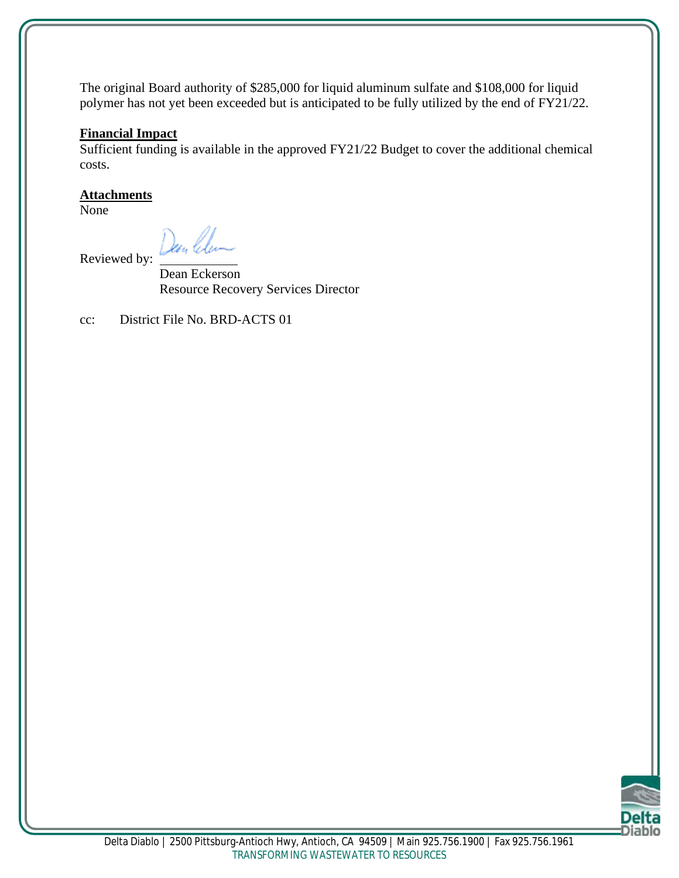The original Board authority of \$285,000 for liquid aluminum sulfate and \$108,000 for liquid polymer has not yet been exceeded but is anticipated to be fully utilized by the end of FY21/22.

### **Financial Impact**

Sufficient funding is available in the approved FY21/22 Budget to cover the additional chemical costs.

### **Attachments**

None

Un liber

Reviewed by:

Dean Eckerson Resource Recovery Services Director

cc: District File No. BRD-ACTS 01

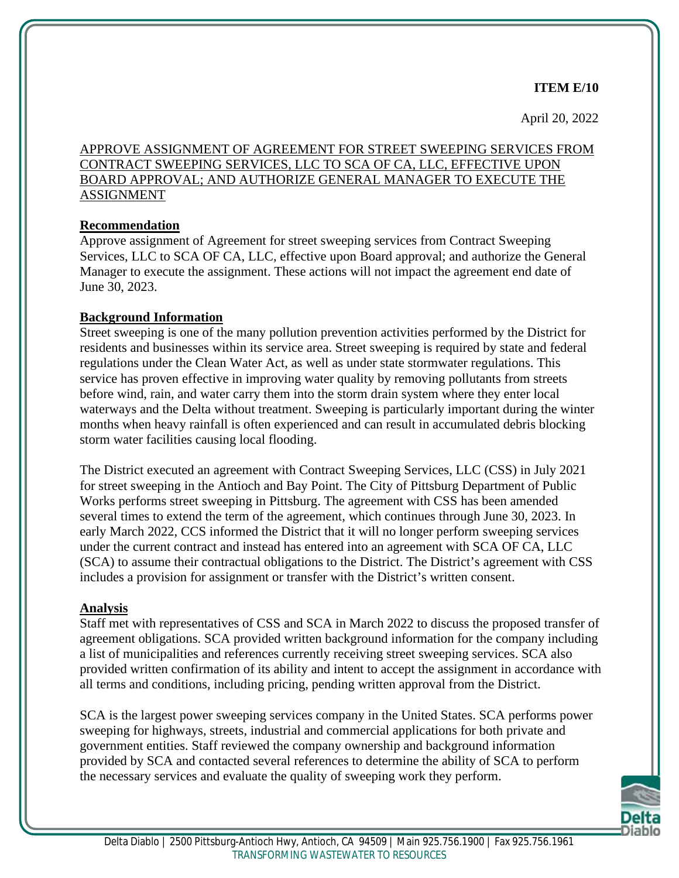April 20, 2022

### APPROVE ASSIGNMENT OF AGREEMENT FOR STREET SWEEPING SERVICES FROM CONTRACT SWEEPING SERVICES, LLC TO SCA OF CA, LLC, EFFECTIVE UPON BOARD APPROVAL; AND AUTHORIZE GENERAL MANAGER TO EXECUTE THE ASSIGNMENT

### **Recommendation**

Approve assignment of Agreement for street sweeping services from Contract Sweeping Services, LLC to SCA OF CA, LLC, effective upon Board approval; and authorize the General Manager to execute the assignment. These actions will not impact the agreement end date of June 30, 2023.

### **Background Information**

Street sweeping is one of the many pollution prevention activities performed by the District for residents and businesses within its service area. Street sweeping is required by state and federal regulations under the Clean Water Act, as well as under state stormwater regulations. This service has proven effective in improving water quality by removing pollutants from streets before wind, rain, and water carry them into the storm drain system where they enter local waterways and the Delta without treatment. Sweeping is particularly important during the winter months when heavy rainfall is often experienced and can result in accumulated debris blocking storm water facilities causing local flooding.

The District executed an agreement with Contract Sweeping Services, LLC (CSS) in July 2021 for street sweeping in the Antioch and Bay Point. The City of Pittsburg Department of Public Works performs street sweeping in Pittsburg. The agreement with CSS has been amended several times to extend the term of the agreement, which continues through June 30, 2023. In early March 2022, CCS informed the District that it will no longer perform sweeping services under the current contract and instead has entered into an agreement with SCA OF CA, LLC (SCA) to assume their contractual obligations to the District. The District's agreement with CSS includes a provision for assignment or transfer with the District's written consent.

### **Analysis**

Staff met with representatives of CSS and SCA in March 2022 to discuss the proposed transfer of agreement obligations. SCA provided written background information for the company including a list of municipalities and references currently receiving street sweeping services. SCA also provided written confirmation of its ability and intent to accept the assignment in accordance with all terms and conditions, including pricing, pending written approval from the District.

SCA is the largest power sweeping services company in the United States. SCA performs power sweeping for highways, streets, industrial and commercial applications for both private and government entities. Staff reviewed the company ownership and background information provided by SCA and contacted several references to determine the ability of SCA to perform the necessary services and evaluate the quality of sweeping work they perform.

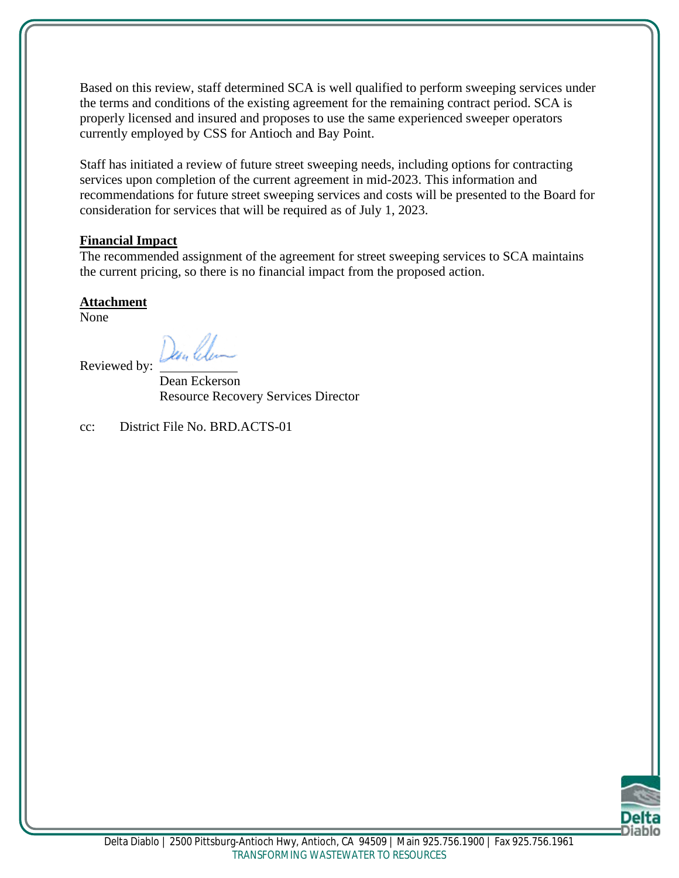Based on this review, staff determined SCA is well qualified to perform sweeping services under the terms and conditions of the existing agreement for the remaining contract period. SCA is properly licensed and insured and proposes to use the same experienced sweeper operators currently employed by CSS for Antioch and Bay Point.

Staff has initiated a review of future street sweeping needs, including options for contracting services upon completion of the current agreement in mid-2023. This information and recommendations for future street sweeping services and costs will be presented to the Board for consideration for services that will be required as of July 1, 2023.

### **Financial Impact**

The recommended assignment of the agreement for street sweeping services to SCA maintains the current pricing, so there is no financial impact from the proposed action.

### **Attachment**

None

Reviewed by:

Dean Eckerson Resource Recovery Services Director

cc: District File No. BRD.ACTS-01

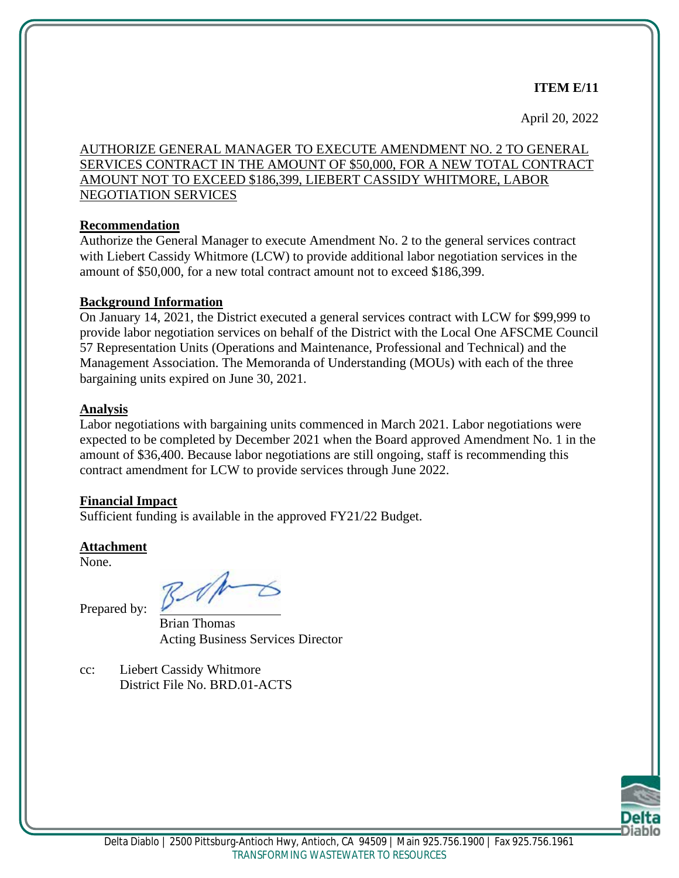April 20, 2022

### AUTHORIZE GENERAL MANAGER TO EXECUTE AMENDMENT NO. 2 TO GENERAL SERVICES CONTRACT IN THE AMOUNT OF \$50,000, FOR A NEW TOTAL CONTRACT AMOUNT NOT TO EXCEED \$186,399, LIEBERT CASSIDY WHITMORE, LABOR NEGOTIATION SERVICES

#### **Recommendation**

Authorize the General Manager to execute Amendment No. 2 to the general services contract with Liebert Cassidy Whitmore (LCW) to provide additional labor negotiation services in the amount of \$50,000, for a new total contract amount not to exceed \$186,399.

#### **Background Information**

On January 14, 2021, the District executed a general services contract with LCW for \$99,999 to provide labor negotiation services on behalf of the District with the Local One AFSCME Council 57 Representation Units (Operations and Maintenance, Professional and Technical) and the Management Association. The Memoranda of Understanding (MOUs) with each of the three bargaining units expired on June 30, 2021.

#### **Analysis**

Labor negotiations with bargaining units commenced in March 2021. Labor negotiations were expected to be completed by December 2021 when the Board approved Amendment No. 1 in the amount of \$36,400. Because labor negotiations are still ongoing, staff is recommending this contract amendment for LCW to provide services through June 2022.

#### **Financial Impact**

Sufficient funding is available in the approved FY21/22 Budget.

#### **Attachment**

None.

Bon Prepared by:

Brian Thomas Acting Business Services Director

cc: Liebert Cassidy Whitmore District File No. BRD.01-ACTS

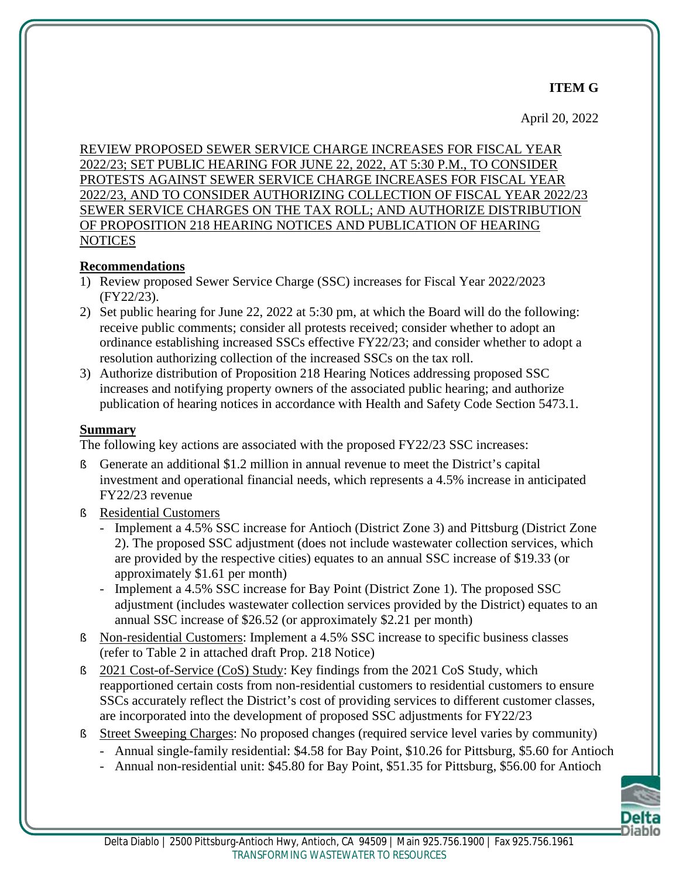**ITEM G**

April 20, 2022

REVIEW PROPOSED SEWER SERVICE CHARGE INCREASES FOR FISCAL YEAR 2022/23; SET PUBLIC HEARING FOR JUNE 22, 2022, AT 5:30 P.M., TO CONSIDER PROTESTS AGAINST SEWER SERVICE CHARGE INCREASES FOR FISCAL YEAR 2022/23, AND TO CONSIDER AUTHORIZING COLLECTION OF FISCAL YEAR 2022/23 SEWER SERVICE CHARGES ON THE TAX ROLL; AND AUTHORIZE DISTRIBUTION OF PROPOSITION 218 HEARING NOTICES AND PUBLICATION OF HEARING **NOTICES** 

### **Recommendations**

- 1) Review proposed Sewer Service Charge (SSC) increases for Fiscal Year 2022/2023 (FY22/23).
- 2) Set public hearing for June 22, 2022 at 5:30 pm, at which the Board will do the following: receive public comments; consider all protests received; consider whether to adopt an ordinance establishing increased SSCs effective FY22/23; and consider whether to adopt a resolution authorizing collection of the increased SSCs on the tax roll.
- 3) Authorize distribution of Proposition 218 Hearing Notices addressing proposed SSC increases and notifying property owners of the associated public hearing; and authorize publication of hearing notices in accordance with Health and Safety Code Section 5473.1.

### **Summary**

The following key actions are associated with the proposed FY22/23 SSC increases:

- § Generate an additional \$1.2 million in annual revenue to meet the District's capital investment and operational financial needs, which represents a 4.5% increase in anticipated FY22/23 revenue
- **§** Residential Customers
	- Implement a 4.5% SSC increase for Antioch (District Zone 3) and Pittsburg (District Zone 2). The proposed SSC adjustment (does not include wastewater collection services, which are provided by the respective cities) equates to an annual SSC increase of \$19.33 (or approximately \$1.61 per month)
	- Implement a 4.5% SSC increase for Bay Point (District Zone 1). The proposed SSC adjustment (includes wastewater collection services provided by the District) equates to an annual SSC increase of \$26.52 (or approximately \$2.21 per month)
- § Non-residential Customers: Implement a 4.5% SSC increase to specific business classes (refer to Table 2 in attached draft Prop. 218 Notice)
- **§** 2021 Cost-of-Service (CoS) Study: Key findings from the 2021 CoS Study, which reapportioned certain costs from non-residential customers to residential customers to ensure SSCs accurately reflect the District's cost of providing services to different customer classes, are incorporated into the development of proposed SSC adjustments for FY22/23
- § Street Sweeping Charges: No proposed changes (required service level varies by community)
	- Annual single-family residential: \$4.58 for Bay Point, \$10.26 for Pittsburg, \$5.60 for Antioch
	- Annual non-residential unit: \$45.80 for Bay Point, \$51.35 for Pittsburg, \$56.00 for Antioch

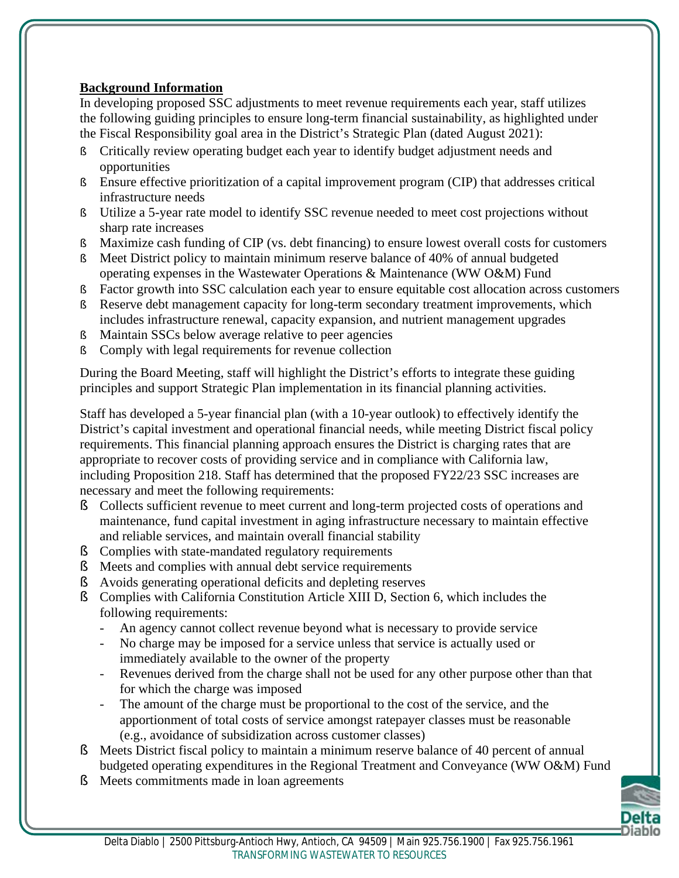### **Background Information**

In developing proposed SSC adjustments to meet revenue requirements each year, staff utilizes the following guiding principles to ensure long-term financial sustainability, as highlighted under the Fiscal Responsibility goal area in the District's Strategic Plan (dated August 2021):

- § Critically review operating budget each year to identify budget adjustment needs and opportunities
- § Ensure effective prioritization of a capital improvement program (CIP) that addresses critical infrastructure needs
- **§** Utilize a 5-year rate model to identify SSC revenue needed to meet cost projections without sharp rate increases
- § Maximize cash funding of CIP (vs. debt financing) to ensure lowest overall costs for customers
- § Meet District policy to maintain minimum reserve balance of 40% of annual budgeted operating expenses in the Wastewater Operations & Maintenance (WW O&M) Fund
- § Factor growth into SSC calculation each year to ensure equitable cost allocation across customers
- **§** Reserve debt management capacity for long-term secondary treatment improvements, which includes infrastructure renewal, capacity expansion, and nutrient management upgrades
- § Maintain SSCs below average relative to peer agencies
- **§** Comply with legal requirements for revenue collection

During the Board Meeting, staff will highlight the District's efforts to integrate these guiding principles and support Strategic Plan implementation in its financial planning activities.

Staff has developed a 5-year financial plan (with a 10-year outlook) to effectively identify the District's capital investment and operational financial needs, while meeting District fiscal policy requirements. This financial planning approach ensures the District is charging rates that are appropriate to recover costs of providing service and in compliance with California law, including Proposition 218. Staff has determined that the proposed FY22/23 SSC increases are necessary and meet the following requirements:

- **§** Collects sufficient revenue to meet current and long-term projected costs of operations and maintenance, fund capital investment in aging infrastructure necessary to maintain effective and reliable services, and maintain overall financial stability
- **§** Complies with state-mandated regulatory requirements
- § Meets and complies with annual debt service requirements
- § Avoids generating operational deficits and depleting reserves
- § Complies with California Constitution Article XIII D, Section 6, which includes the following requirements:
	- An agency cannot collect revenue beyond what is necessary to provide service
	- No charge may be imposed for a service unless that service is actually used or immediately available to the owner of the property
	- Revenues derived from the charge shall not be used for any other purpose other than that for which the charge was imposed
	- The amount of the charge must be proportional to the cost of the service, and the apportionment of total costs of service amongst ratepayer classes must be reasonable (e.g., avoidance of subsidization across customer classes)
- § Meets District fiscal policy to maintain a minimum reserve balance of 40 percent of annual budgeted operating expenditures in the Regional Treatment and Conveyance (WW O&M) Fund
- § Meets commitments made in loan agreements

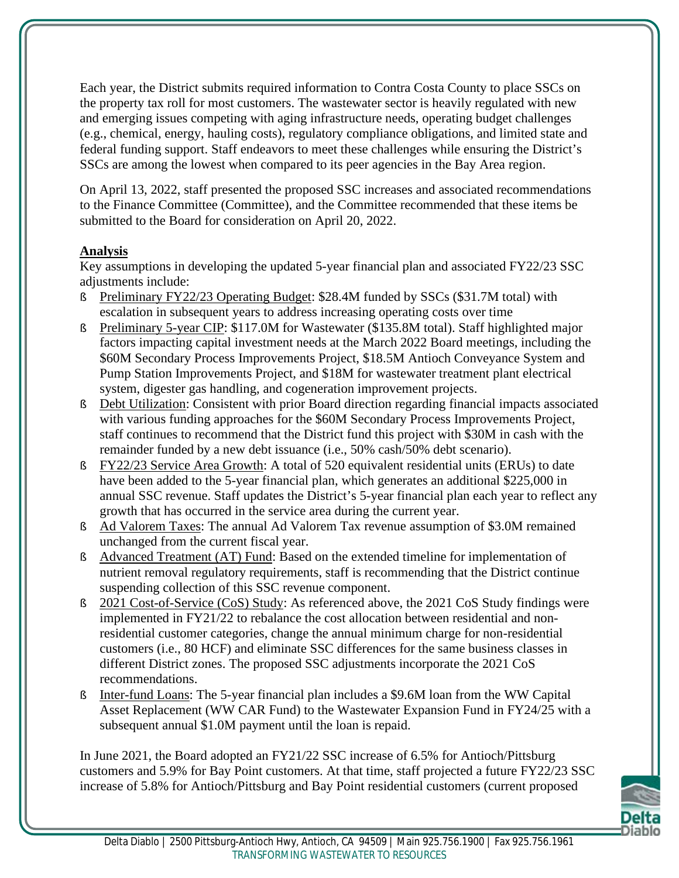Each year, the District submits required information to Contra Costa County to place SSCs on the property tax roll for most customers. The wastewater sector is heavily regulated with new and emerging issues competing with aging infrastructure needs, operating budget challenges (e.g., chemical, energy, hauling costs), regulatory compliance obligations, and limited state and federal funding support. Staff endeavors to meet these challenges while ensuring the District's SSCs are among the lowest when compared to its peer agencies in the Bay Area region.

On April 13, 2022, staff presented the proposed SSC increases and associated recommendations to the Finance Committee (Committee), and the Committee recommended that these items be submitted to the Board for consideration on April 20, 2022.

### **Analysis**

Key assumptions in developing the updated 5-year financial plan and associated FY22/23 SSC adjustments include:

- § Preliminary FY22/23 Operating Budget: \$28.4M funded by SSCs (\$31.7M total) with escalation in subsequent years to address increasing operating costs over time
- § Preliminary 5-year CIP: \$117.0M for Wastewater (\$135.8M total). Staff highlighted major factors impacting capital investment needs at the March 2022 Board meetings, including the \$60M Secondary Process Improvements Project, \$18.5M Antioch Conveyance System and Pump Station Improvements Project, and \$18M for wastewater treatment plant electrical system, digester gas handling, and cogeneration improvement projects.
- § Debt Utilization: Consistent with prior Board direction regarding financial impacts associated with various funding approaches for the \$60M Secondary Process Improvements Project, staff continues to recommend that the District fund this project with \$30M in cash with the remainder funded by a new debt issuance (i.e., 50% cash/50% debt scenario).
- § FY22/23 Service Area Growth: A total of 520 equivalent residential units (ERUs) to date have been added to the 5-year financial plan, which generates an additional \$225,000 in annual SSC revenue. Staff updates the District's 5-year financial plan each year to reflect any growth that has occurred in the service area during the current year.
- § Ad Valorem Taxes: The annual Ad Valorem Tax revenue assumption of \$3.0M remained unchanged from the current fiscal year.
- § Advanced Treatment (AT) Fund: Based on the extended timeline for implementation of nutrient removal regulatory requirements, staff is recommending that the District continue suspending collection of this SSC revenue component.
- § 2021 Cost-of-Service (CoS) Study: As referenced above, the 2021 CoS Study findings were implemented in FY21/22 to rebalance the cost allocation between residential and nonresidential customer categories, change the annual minimum charge for non-residential customers (i.e., 80 HCF) and eliminate SSC differences for the same business classes in different District zones. The proposed SSC adjustments incorporate the 2021 CoS recommendations.
- § Inter-fund Loans: The 5-year financial plan includes a \$9.6M loan from the WW Capital Asset Replacement (WW CAR Fund) to the Wastewater Expansion Fund in FY24/25 with a subsequent annual \$1.0M payment until the loan is repaid.

In June 2021, the Board adopted an FY21/22 SSC increase of 6.5% for Antioch/Pittsburg customers and 5.9% for Bay Point customers. At that time, staff projected a future FY22/23 SSC increase of 5.8% for Antioch/Pittsburg and Bay Point residential customers (current proposed

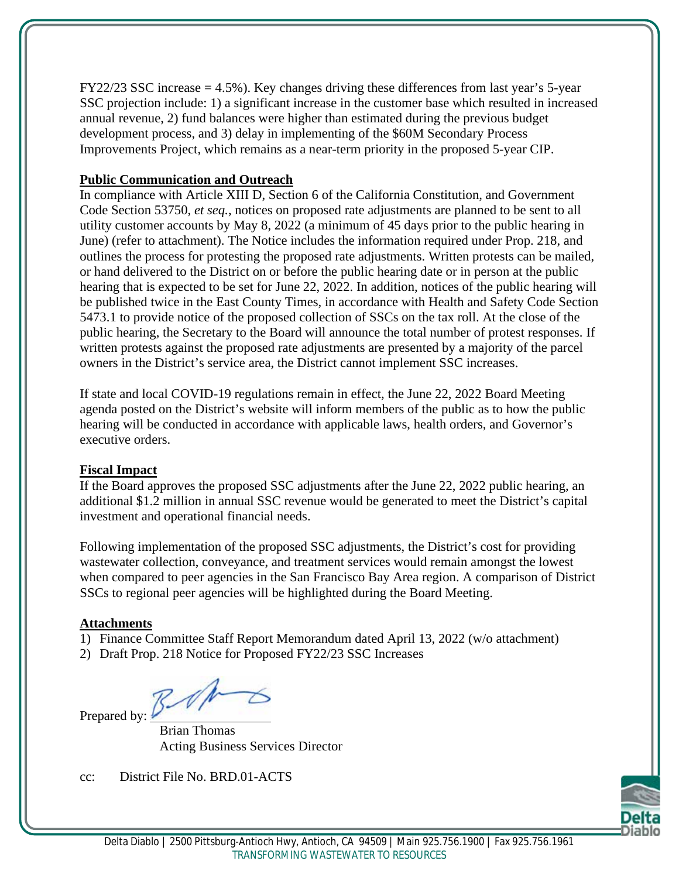$FY22/23$  SSC increase  $= 4.5\%$ ). Key changes driving these differences from last year's 5-year SSC projection include: 1) a significant increase in the customer base which resulted in increased annual revenue, 2) fund balances were higher than estimated during the previous budget development process, and 3) delay in implementing of the \$60M Secondary Process Improvements Project, which remains as a near-term priority in the proposed 5-year CIP.

### **Public Communication and Outreach**

In compliance with Article XIII D, Section 6 of the California Constitution, and Government Code Section 53750, *et seq.*, notices on proposed rate adjustments are planned to be sent to all utility customer accounts by May 8, 2022 (a minimum of 45 days prior to the public hearing in June) (refer to attachment). The Notice includes the information required under Prop. 218, and outlines the process for protesting the proposed rate adjustments. Written protests can be mailed, or hand delivered to the District on or before the public hearing date or in person at the public hearing that is expected to be set for June 22, 2022. In addition, notices of the public hearing will be published twice in the East County Times, in accordance with Health and Safety Code Section 5473.1 to provide notice of the proposed collection of SSCs on the tax roll. At the close of the public hearing, the Secretary to the Board will announce the total number of protest responses. If written protests against the proposed rate adjustments are presented by a majority of the parcel owners in the District's service area, the District cannot implement SSC increases.

If state and local COVID-19 regulations remain in effect, the June 22, 2022 Board Meeting agenda posted on the District's website will inform members of the public as to how the public hearing will be conducted in accordance with applicable laws, health orders, and Governor's executive orders.

### **Fiscal Impact**

If the Board approves the proposed SSC adjustments after the June 22, 2022 public hearing, an additional \$1.2 million in annual SSC revenue would be generated to meet the District's capital investment and operational financial needs.

Following implementation of the proposed SSC adjustments, the District's cost for providing wastewater collection, conveyance, and treatment services would remain amongst the lowest when compared to peer agencies in the San Francisco Bay Area region. A comparison of District SSCs to regional peer agencies will be highlighted during the Board Meeting.

### **Attachments**

- 1) Finance Committee Staff Report Memorandum dated April 13, 2022 (w/o attachment)
- 2) Draft Prop. 218 Notice for Proposed FY22/23 SSC Increases

Prepared by:

Brian Thomas Acting Business Services Director

cc: District File No. BRD.01-ACTS

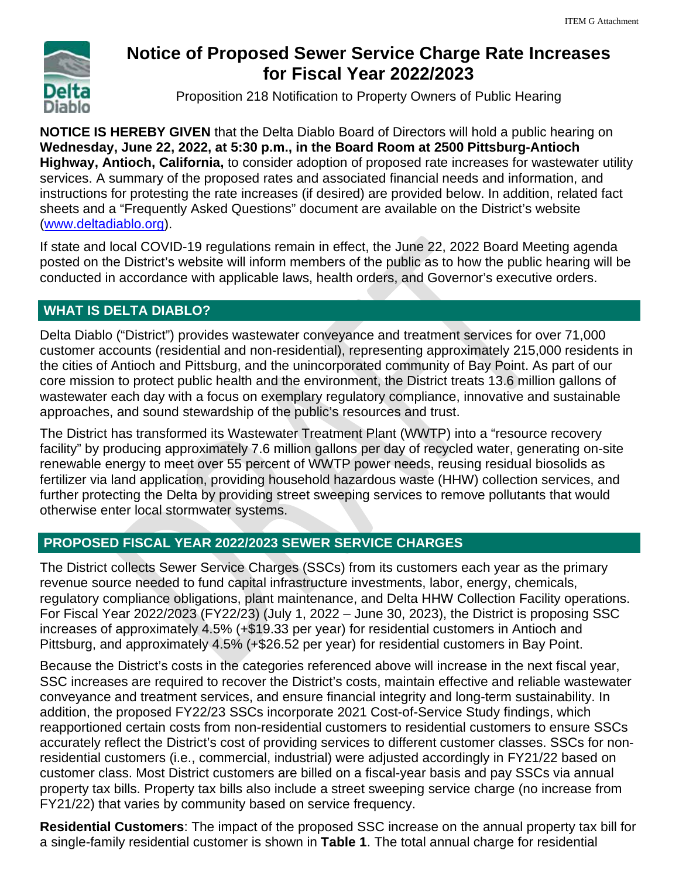

## **Notice of Proposed Sewer Service Charge Rate Increases for Fiscal Year 2022/2023**

Proposition 218 Notification to Property Owners of Public Hearing

**NOTICE IS HEREBY GIVEN** that the Delta Diablo Board of Directors will hold a public hearing on **Wednesday, June 22, 2022, at 5:30 p.m., in the Board Room at 2500 Pittsburg-Antioch Highway, Antioch, California,** to consider adoption of proposed rate increases for wastewater utility services. A summary of the proposed rates and associated financial needs and information, and instructions for protesting the rate increases (if desired) are provided below. In addition, related fact sheets and a "Frequently Asked Questions" document are available on the District's website (www.deltadiablo.org).

If state and local COVID-19 regulations remain in effect, the June 22, 2022 Board Meeting agenda posted on the District's website will inform members of the public as to how the public hearing will be conducted in accordance with applicable laws, health orders, and Governor's executive orders.

### **WHAT IS DELTA DIABLO?**

Delta Diablo ("District") provides wastewater conveyance and treatment services for over 71,000 customer accounts (residential and non-residential), representing approximately 215,000 residents in the cities of Antioch and Pittsburg, and the unincorporated community of Bay Point. As part of our core mission to protect public health and the environment, the District treats 13.6 million gallons of wastewater each day with a focus on exemplary regulatory compliance, innovative and sustainable approaches, and sound stewardship of the public's resources and trust.

The District has transformed its Wastewater Treatment Plant (WWTP) into a "resource recovery facility" by producing approximately 7.6 million gallons per day of recycled water, generating on-site renewable energy to meet over 55 percent of WWTP power needs, reusing residual biosolids as fertilizer via land application, providing household hazardous waste (HHW) collection services, and further protecting the Delta by providing street sweeping services to remove pollutants that would otherwise enter local stormwater systems.

### **PROPOSED FISCAL YEAR 2022/2023 SEWER SERVICE CHARGES**

The District collects Sewer Service Charges (SSCs) from its customers each year as the primary revenue source needed to fund capital infrastructure investments, labor, energy, chemicals, regulatory compliance obligations, plant maintenance, and Delta HHW Collection Facility operations. For Fiscal Year 2022/2023 (FY22/23) (July 1, 2022 – June 30, 2023), the District is proposing SSC increases of approximately 4.5% (+\$19.33 per year) for residential customers in Antioch and Pittsburg, and approximately 4.5% (+\$26.52 per year) for residential customers in Bay Point.

Because the District's costs in the categories referenced above will increase in the next fiscal year, SSC increases are required to recover the District's costs, maintain effective and reliable wastewater conveyance and treatment services, and ensure financial integrity and long-term sustainability. In addition, the proposed FY22/23 SSCs incorporate 2021 Cost-of-Service Study findings, which reapportioned certain costs from non-residential customers to residential customers to ensure SSCs accurately reflect the District's cost of providing services to different customer classes. SSCs for nonresidential customers (i.e., commercial, industrial) were adjusted accordingly in FY21/22 based on customer class. Most District customers are billed on a fiscal-year basis and pay SSCs via annual property tax bills. Property tax bills also include a street sweeping service charge (no increase from FY21/22) that varies by community based on service frequency.

**Residential Customers**: The impact of the proposed SSC increase on the annual property tax bill for a single-family residential customer is shown in **Table 1**. The total annual charge for residential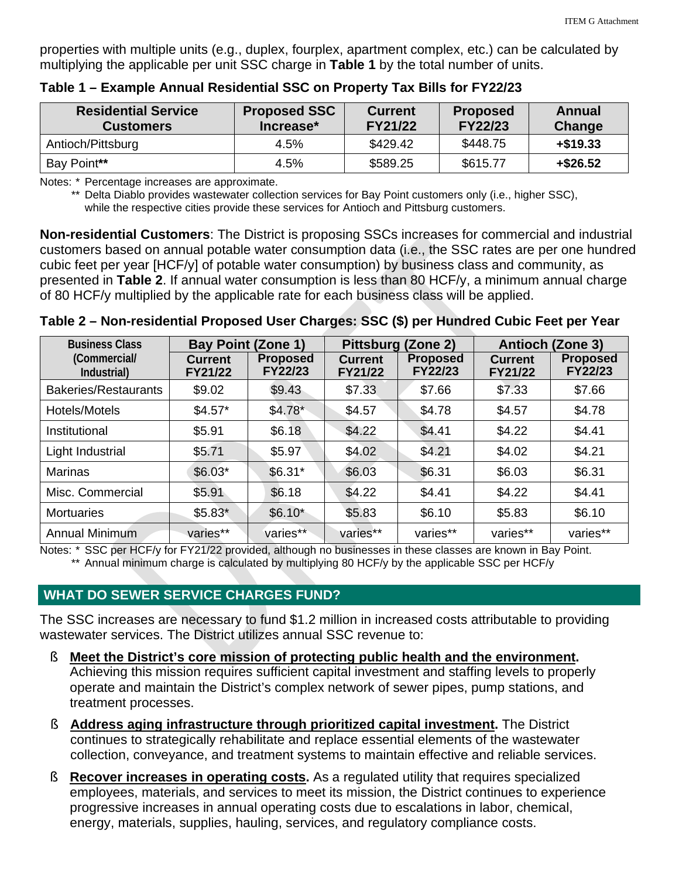properties with multiple units (e.g., duplex, fourplex, apartment complex, etc.) can be calculated by multiplying the applicable per unit SSC charge in **Table 1** by the total number of units.

| <b>Residential Service</b><br><b>Customers</b> | <b>Proposed SSC</b><br>Increase* | <b>Current</b><br>FY21/22 | <b>Proposed</b><br><b>FY22/23</b> | Annual<br>Change |
|------------------------------------------------|----------------------------------|---------------------------|-----------------------------------|------------------|
| Antioch/Pittsburg                              | 4.5%                             | \$429.42                  | \$448.75                          | $+ $19.33$       |
| Bay Point**                                    | 4.5%                             | \$589.25                  | \$615.77                          | $+$ \$26.52      |

**Table 1 – Example Annual Residential SSC on Property Tax Bills for FY22/23** 

Notes: \* Percentage increases are approximate.

\*\* Delta Diablo provides wastewater collection services for Bay Point customers only (i.e., higher SSC), while the respective cities provide these services for Antioch and Pittsburg customers.

**Non-residential Customers**: The District is proposing SSCs increases for commercial and industrial customers based on annual potable water consumption data (i.e., the SSC rates are per one hundred cubic feet per year [HCF/y] of potable water consumption) by business class and community, as presented in **Table 2**. If annual water consumption is less than 80 HCF/y, a minimum annual charge of 80 HCF/y multiplied by the applicable rate for each business class will be applied.

| <b>Business Class</b>       | <b>Bay Point (Zone 1)</b> |                                   | <b>Pittsburg (Zone 2)</b> |                            | <b>Antioch (Zone 3)</b>   |                            |
|-----------------------------|---------------------------|-----------------------------------|---------------------------|----------------------------|---------------------------|----------------------------|
| (Commercial/<br>Industrial) | <b>Current</b><br>FY21/22 | <b>Proposed</b><br><b>FY22/23</b> | <b>Current</b><br>FY21/22 | <b>Proposed</b><br>FY22/23 | <b>Current</b><br>FY21/22 | <b>Proposed</b><br>FY22/23 |
| <b>Bakeries/Restaurants</b> | \$9.02                    | \$9.43                            | \$7.33                    | \$7.66                     | \$7.33                    | \$7.66                     |
| Hotels/Motels               | $$4.57*$                  | $$4.78*$                          | \$4.57                    | \$4.78                     | \$4.57                    | \$4.78                     |
| Institutional               | \$5.91                    | \$6.18                            | \$4.22                    | \$4.41                     | \$4.22                    | \$4.41                     |
| Light Industrial            | \$5.71                    | \$5.97                            | \$4.02                    | \$4.21                     | \$4.02                    | \$4.21                     |
| <b>Marinas</b>              | $$6.03*$                  | $$6.31*$                          | \$6.03                    | \$6.31                     | \$6.03                    | \$6.31                     |
| Misc. Commercial            | \$5.91                    | \$6.18                            | \$4.22                    | \$4.41                     | \$4.22                    | \$4.41                     |
| <b>Mortuaries</b>           | $$5.83*$                  | $$6.10*$                          | \$5.83                    | \$6.10                     | \$5.83                    | \$6.10                     |
| <b>Annual Minimum</b>       | varies**                  | varies**                          | varies**                  | varies**                   | varies**                  | varies**                   |

**Table 2 – Non-residential Proposed User Charges: SSC (\$) per Hundred Cubic Feet per Year** 

Notes: \* SSC per HCF/y for FY21/22 provided, although no businesses in these classes are known in Bay Point. \*\* Annual minimum charge is calculated by multiplying 80 HCF/y by the applicable SSC per HCF/y

### **WHAT DO SEWER SERVICE CHARGES FUND?**

The SSC increases are necessary to fund \$1.2 million in increased costs attributable to providing wastewater services. The District utilizes annual SSC revenue to:

- § **Meet the District's core mission of protecting public health and the environment.** Achieving this mission requires sufficient capital investment and staffing levels to properly operate and maintain the District's complex network of sewer pipes, pump stations, and treatment processes.
- § **Address aging infrastructure through prioritized capital investment.** The District continues to strategically rehabilitate and replace essential elements of the wastewater collection, conveyance, and treatment systems to maintain effective and reliable services.
- § **Recover increases in operating costs.** As a regulated utility that requires specialized employees, materials, and services to meet its mission, the District continues to experience progressive increases in annual operating costs due to escalations in labor, chemical, energy, materials, supplies, hauling, services, and regulatory compliance costs.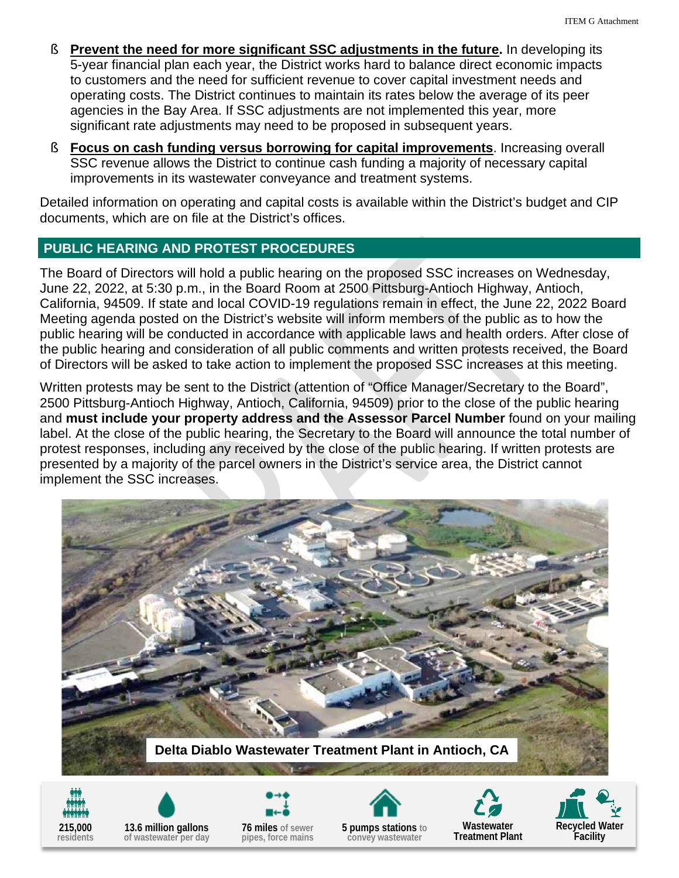- § **Prevent the need for more significant SSC adjustments in the future.** In developing its 5-year financial plan each year, the District works hard to balance direct economic impacts to customers and the need for sufficient revenue to cover capital investment needs and operating costs. The District continues to maintain its rates below the average of its peer agencies in the Bay Area. If SSC adjustments are not implemented this year, more significant rate adjustments may need to be proposed in subsequent years.
- § **Focus on cash funding versus borrowing for capital improvements**. Increasing overall SSC revenue allows the District to continue cash funding a majority of necessary capital improvements in its wastewater conveyance and treatment systems.

Detailed information on operating and capital costs is available within the District's budget and CIP documents, which are on file at the District's offices.

### **PUBLIC HEARING AND PROTEST PROCEDURES**

The Board of Directors will hold a public hearing on the proposed SSC increases on Wednesday, June 22, 2022, at 5:30 p.m., in the Board Room at 2500 Pittsburg-Antioch Highway, Antioch, California, 94509. If state and local COVID-19 regulations remain in effect, the June 22, 2022 Board Meeting agenda posted on the District's website will inform members of the public as to how the public hearing will be conducted in accordance with applicable laws and health orders. After close of the public hearing and consideration of all public comments and written protests received, the Board of Directors will be asked to take action to implement the proposed SSC increases at this meeting.

Written protests may be sent to the District (attention of "Office Manager/Secretary to the Board", 2500 Pittsburg-Antioch Highway, Antioch, California, 94509) prior to the close of the public hearing and **must include your property address and the Assessor Parcel Number** found on your mailing label. At the close of the public hearing, the Secretary to the Board will announce the total number of protest responses, including any received by the close of the public hearing. If written protests are presented by a majority of the parcel owners in the District's service area, the District cannot implement the SSC increases.